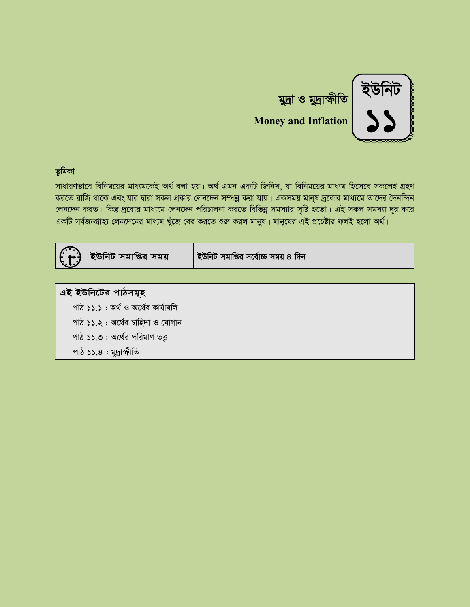

# মুদ্রা ও মুদ্রাস্ফীতি **Money and Inflation**

### ভূমিকা

সাধারণভাবে বিনিময়ের মাধ্যমকেই অর্থ বলা হয়। অর্থ এমন একটি জিনিস, যা বিনিময়ের মাধ্যম হিসেবে সকলেই গ্রহণ করতে রাজি থাকে এবং যার দ্বারা সকল প্রকার লেনদেন সম্পন্ন করা যায়। একসময় মানুষ দ্রব্যের মাধ্যমে তাদের দৈনন্দিন লেনদেন করত। কিন্তু দ্রব্যের মাধ্যমে লেনদেন পরিচালনা করতে বিভিন্ন সমস্যার সৃষ্টি হতো। এই সকল সমস্যা দূর করে একটি সর্বজনগ্রাহ্য লেনদেনের মাধ্যম খুঁজে বের করতে শুরু করল মানুষ। মানুষের এই প্রচেষ্টার ফলই হলো অর্থ।

| ইউনিট সমাপ্তির সময়                | ইউনিট সমাপ্তির সর্বোচ্চ সময় ৪ দিন |
|------------------------------------|------------------------------------|
|                                    |                                    |
| এই ইউনিটের পাঠসমূহ                 |                                    |
| পাঠ ১১.১ : অৰ্থ ও অৰ্থের কাৰ্যাবলি |                                    |
| পাঠ ১১.২: অর্থের চাহিদা ও যোগান    |                                    |
| পাঠ ১১.৩ : অর্থের পরিমাণ তত্ত্ব    |                                    |
| পাঠ ১১.৪ : মুদ্রাস্ফীতি            |                                    |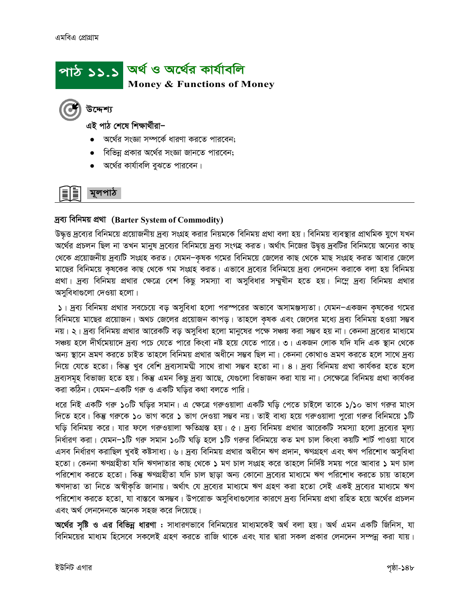

এই পাঠ শেষে শিক্ষাৰ্থীরা–

- অর্থের সংজ্ঞা সম্পর্কে ধারণা করতে পারবেন;
- বিভিন্ন প্রকার অর্থের সংজ্ঞা জানতে পারবেন;
- অর্থের কার্যাবলি বুঝতে পারবেন।

### মলপাঠ

#### দ্ৰব্য বিনিময় প্ৰথা (Barter System of Commodity)

উদ্ধত্ত দ্রব্যের বিনিময়ে প্রয়োজনীয় দ্রব্য সংগ্রহ করার নিয়মকে বিনিময় প্রথা বলা হয়। বিনিময় ব্যবস্থার প্রাথমিক যুগে যখন অর্থের প্রচলন ছিল না তখন মানুষ দ্রব্যের বিনিময়ে দ্রব্য সংগহ করত। অর্থাৎ নিজের উদ্বত্ত দ্রবটির বিনিময়ে অন্যের কাছ থেকে প্রয়োজনীয় দ্রব্যটি সংগ্রহ করত। যেমন–কৃষক গমের বিনিময়ে জেলের কাছ থেকে মাছ সংগ্রহ করত আবার জেলে মাছের বিনিময়ে কৃষকের কাছ থেকে গম সংগ্রহ করত। এভাবে দ্রব্যের বিনিময়ে দ্রব্য লেনদেন করাকে বলা হয় বিনিময় প্রথা। দ্রব্য বিনিময় প্রথার ক্ষেত্রে বেশ কিছু সমস্যা বা অসুবিধার সম্মুখীন হতে হয়। নিম্নে দ্রব্য বিনিময় প্রথার অসুবিধাগুলো দেওয়া হলো।

১। দ্রব্য বিনিময় প্রথার সবচেয়ে বড় অসুবিধা হলো পরস্পরের অভাবে অসামঞ্জস্যতা। যেমন-একজন কৃষকের গমের বিনিময়ে মাছের প্রয়োজন। অথচ জেলের প্রয়োজন কাপড়। তাহলে কৃষক এবং জেলের মধ্যে দ্রব্য বিনিময় হওয়া সম্ভব নয়। ২। দ্রব্য বিনিময় প্রথার আরেকটি বড় অসুবিধা হলো মানুষের পক্ষে সঞ্চয় করা সম্ভব হয় না। কেননা দ্রব্যের মাধ্যমে সঞ্চয় হলে দীর্ঘমেয়াদে দ্রব্য পচে যেতে পারে কিংবা নষ্ট হয়ে যেতে পারে। ৩। একজন লোক যদি যদি এক স্থান থেকে অন্য স্থানে ভ্ৰমণ করতে চাইত তাহলে বিনিময় প্রথার অধীনে সম্ভব ছিল না। কেননা কোথাও ভ্ৰমণ করতে হলে সাথে দ্রব্য নিয়ে যেতে হতো। কিন্তু খুব বেশি দ্রব্যসাময়ী সাথে রাখা সম্ভব হতো না। ৪। দ্রব্য বিনিময় প্রথা কার্যকর হতে হলে দ্রব্যসমূহ বিভাজ্য হতে হয়। কিন্তু এমন কিছু দ্রব্য আছে, যেগুলো বিভাজন করা যায় না। সেক্ষেত্রে বিনিময় প্রথা কার্যকর করা কঠিন। যেমন-একটি গরু ও একটি ঘড়ির কথা বলতে পারি।

ধরে নিই একটি গরু ১০টি ঘড়ির সমান। এ ক্ষেত্রে গরুওয়ালা একটি ঘড়ি পেতে চাইলে তাকে ১/১০ ভাগ গরুর মাংস দিতে হবে। কিন্তু গরুকে ১০ ভাগ করে ১ ভাগ দেওয়া সম্ভব নয়। তাই বাধ্য হয়ে গরুওয়ালা পুরো গরুর বিনিময়ে ১টি ঘড়ি বিনিময় করে। যার ফলে গরুওয়ালা ক্ষতিগ্রস্ত হয়। ৫। দ্রব্য বিনিময় প্রথার আরেকটি সমস্যা হলো দ্রব্যের মূল্য নির্ধারণ করা। যেমন-১টি গরু সমান ১০টি ঘড়ি হলে ১টি গরুর বিনিময়ে কত মণ চাল কিংবা কয়টি শার্ট পাওয়া যাবে এসব নির্ধারণ করাছিল খুবই কষ্টসাধ্য। ৬। দ্রব্য বিনিময় প্রথার অধীনে ঋণ প্রদান, ঋণগ্রহণ এবং ঋণ পরিশোধ অসুবিধা হতো। কেননা ঋণগ্রহীতা যদি ঋণদাতার কাছ থেকে ১ মণ চাল সংগ্রহ করে তাহলে নির্দিষ্ট সময় পরে আবার ১ মণ চাল পরিশোধ করতে হতো। কিন্তু ঋণগ্রহীতা যদি চাল ছাড়া অন্য কোনো দ্রব্যের মাধ্যমে ঋণ পরিশোধ করতে চায় তাহলে ঋণদাতা তা নিতে অস্বীকৃতি জানায়। অৰ্থাৎ যে দ্ৰব্যের মাধ্যমে ঋণ গ্ৰহণ করা হতো সেই একই দ্ৰব্যের মাধ্যমে ঋণ পরিশোধ করতে হতো, যা বাস্তবে অসম্ভব। উপরোক্ত অসুবিধাগুলোর কারণে দ্রব্য বিনিময় প্রথা রহিত হয়ে অর্থের প্রচলন এবং অর্থ লেনদেনকে অনেক সহজ করে দিয়েছে।

**অর্থের সৃষ্টি ও এর বিভিন্ন ধারণা :** সাধারণভাবে বিনিময়ের মাধ্যমকেই অর্থ বলা হয়। অর্থ এমন একটি জিনিস, যা বিনিময়ের মাধ্যম হিসেবে সকলেই গ্রহণ করতে রাজি থাকে এবং যার দ্বারা সকল প্রকার লেনদেন সম্পন্ন করা যায়।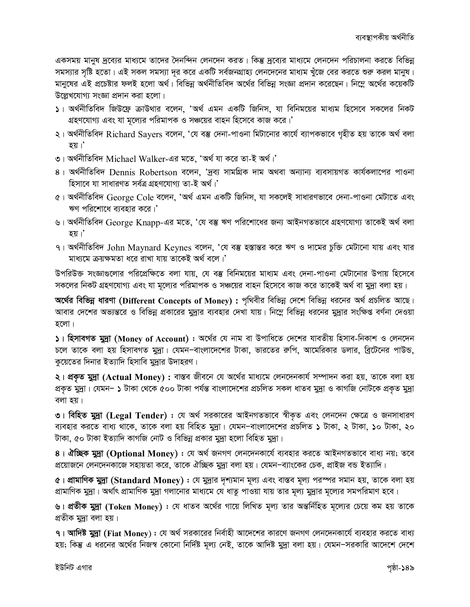একসময় মানুষ দ্রব্যের মাধ্যমে তাদের দৈনন্দিন লেনদেন করত। কিন্তু দ্রব্যের মাধ্যমে লেনদেন পরিচালনা করতে বিভিন্ন সমস্যার সৃষ্টি হতো। এই সকল সমস্যা দূর করে একটি সর্বজনগ্রাহ্য লেনদেনের মাধ্যম খুঁজে বের করতে শুরু করল মানুষ। মানুষের এই প্রচেষ্টার ফলই হলো অর্থ। বিভিন্ন অর্থনীতিবিদ অর্থের বিভিন্ন সংজ্ঞা প্রদান করেছেন। নিম্নে অর্থের কয়েকটি উল্লেখযোগ্য সংজ্ঞা প্রদান করা হলো।

- ১। অর্থনীতিবিদ জিউফ্রে ক্রাউথার বলেন, 'অর্থ এমন একটি জিনিস, যা বিনিময়ের মাধ্যম হিসেবে সকলের নিকট গ্রহণযোগ্য এবং যা মূল্যের পরিমাপক ও সঞ্চয়ের বাহন হিসেবে কাজ করে।'
- ২। অর্থনীতিবিদ Richard Sayers বলেন, 'যে বম্ভ দেনা-পাওনা মিটানোর কার্যে ব্যাপকভাবে গৃহীত হয় তাকে অর্থ বলা হয়।'
- ৩। অর্থনীতিবিদ Michael Walker-এর মতে, 'অর্থ যা করে তা-ই অর্থ।'
- ৪। অর্থনীতিবিদ Dennis Robertson বলেন, 'দ্রব্য সামগ্রিক দাম অথবা অন্যান্য ব্যবসায়গত কার্যকলাপের পাওনা হিসাবে যা সাধারণত সর্বত্র গ্রহণযোগ্য তা-ই অর্থ।'
- ৫। অৰ্থনীতিবিদ George Cole বলেন, 'অৰ্থ এমন একটি জিনিস, যা সকলেই সাধারণভাবে দেনা-পাওনা মেটাতে এবং ঋণ পরিশোধে ব্যবহার করে।'
- ৬। অর্থনীতিবিদ George Knapp-এর মতে, 'যে বম্ভ ঋণ পরিশোধের জন্য আইনগতভাবে গ্রহণযোগ্য তাকেই অর্থ বলা হয়।'
- ৭। অর্থনীতিবিদ John Maynard Keynes বলেন, 'যে বম্ভ হস্তান্তর করে ঋণ ও দামের চুক্তি মেটানো যায় এবং যার মাধ্যমে ক্রয়ক্ষমতা ধরে রাখা যায় তাকেই অর্থ বলে।'

উপরিউক্ত সংজ্ঞাগুলোর পরিপ্রেক্ষিতে বলা যায়, যে বস্তু বিনিময়ের মাধ্যম এবং দেনা-পাওনা মেটানোর উপায় হিসেবে সকলের নিকট গ্রহণযোগ্য এবং যা মূল্যের পরিমাপক ও সঞ্চয়ের বাহন হিসেবে কাজ করে তাকেই অর্থ বা মুদ্রা বলা হয়।

অর্থের বিভিন্ন ধারণা (Different Concepts of Money) : পৃথিবীর বিভিন্ন দেশে বিভিন্ন ধরনের অর্থ প্রচলিত আছে। আবার দেশের অভ্যন্তরে ও বিভিন্ন প্রকারের মুদ্রার ব্যবহার দেখা যায়। নিম্নে বিভিন্ন ধরনের মুদ্রার সংক্ষিপ্ত বর্ণনা দেওয়া হলো।

 $\vert$  )। হিসাবগত মুদ্রা (Money of Account) : অর্থের যে নাম বা উপাধিতে দেশের যাবতীয় হিসাব-নিকাশ ও লেনদেন চলে তাকে বলা হয় হিসাবগত মুদ্রা। যেমন-বাংলাদেশের টাকা, ভারতের রুপি, আমেরিকার ডলার, ব্রিটেনের পাউন্ড, কুয়েতের দিনার ইত্যাদি হিসাবি মুদ্রার উদাহরণ।

২। প্রকৃত মুদ্রা (Actual Money) : বাস্তব জীবনে যে অর্থের মাধ্যমে লেনদেনকার্য সম্পাদন করা হয়, তাকে বলা হয় প্রকৃত মুদ্রা। যেমন– ১ টাকা থেকে ৫০০ টাকা পর্যন্ত বাংলাদেশের প্রচলিত সকল ধাতব মুদ্রা ও কাগজি নোটকে প্রকৃত মুদ্রা বলা হয়।

৩। বিহিত মুদ্রা (Legal Tender) : যে অর্থ সরকারের আইনগতভাবে স্বীকৃত এবং লেনদেন ক্ষেত্রে ও জনসাধারণ ব্যবহার করতে বাধ্য থাকে, তাকে বলা হয় বিহিত মুদ্রা। যেমন-বাংলাদেশের প্রচলিত ১ টাকা, ২ টাকা, ১০ টাকা, ২০ টাকা, ৫০ টাকা ইত্যাদি কাগজি নোট ও বিভিন্ন প্রকার মুদ্রা হলো বিহিত মুদ্রা।

8। ঐচ্ছিক মুদ্রা (Optional Money) : যে অর্থ জনগণ লেনদেনকার্যে ব্যবহার করতে আইনগতভাবে বাধ্য নয়; তবে প্রয়োজনে লেনদেনকাজে সহায়তা করে, তাকে ঐচ্ছিক মুদ্রা বলা হয়। যেমন–ব্যাংকের চেক, প্রাইজ বন্ড ইত্যাদি।

 $c$ । প্রামাণিক মুদ্রা (Standard Money) : যে মুদ্রার দৃশ্যমান মূল্য এবং বাস্তব মূল্য পরস্পর সমান হয়, তাকে বলা হয় প্রামাণিক মুদ্রা। অর্থাৎ প্রামাণিক মুদ্রা গলানোর মাধ্যমে যে ধাতু পাওয়া যায় তার মূল্য মুদ্রার মূল্যের সমপরিমাণ হবে।

৬। প্রতীক মুদ্রা (Token Money) : যে ধাতব অর্থের গায়ে লিখিত মূল্য তার অন্তর্নিহিত মূল্যের চেয়ে কম হয় তাকে প্ৰতীক মুদ্ৰা বলা হয়।

৭। **আদিষ্ট মুদ্রা (Fiat Money):** যে অর্থ সরকারের নির্বাহী আদেশের কারণে জনগণ লেনদেনকার্যে ব্যবহার করতে বাধ্য হয়; কিন্তু এ ধরনের অর্থের নিজস্ব কোনো নির্দিষ্ট মূল্য নেই, তাকে আদিষ্ট মুদ্রা বলা হয়। যেমন–সরকারি আদেশে দেশে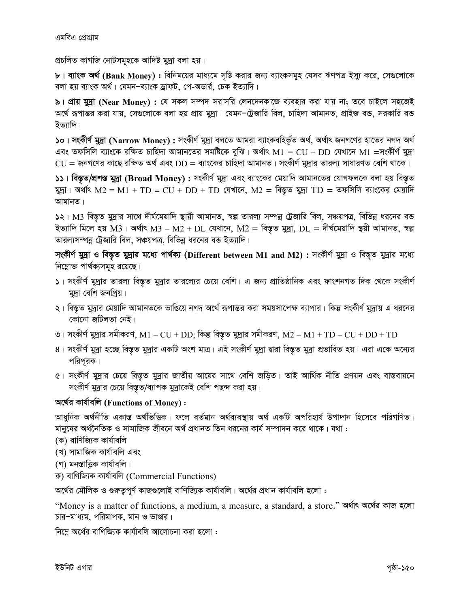প্রচলিত কাগজি নোটসমূহকে আদিষ্ট মুদ্রা বলা হয়।

৮। ব্যাংক অর্থ (Bank Money) : বিনিময়ের মাধ্যমে সৃষ্টি করার জন্য ব্যাংকসমূহ যেসব ঋণপত্র ইস্যু করে, সেগুলোকে বলা হয় ব্যাংক অর্থ। যেমন–ব্যাংক ড্রাফট, পে-অডার্র, চেক ইত্যাদি।

৯। প্রায় মুদ্রা (Near Money) : যে সকল সম্পদ সরাসরি লেনদেনকাজে ব্যবহার করা যায় না; তবে চাইলে সহজেই অর্থে রূপান্তর করা যায়, সেগুলোকে বলা হয় প্রায় মুদ্রা। যেমন–ট্রেজারি বিল, চাহিদা আমানত, প্রাইজ বন্ড, সরকারি বন্ড ইত্যাদি।

১০। সংকীর্ণ মুদ্রা (Narrow Monev) : সংকীর্ণ মুদ্রা বলতে আমরা ব্যাংকবহির্ভূত অর্থ, অর্থাৎ জনগণের হাতের নগদ অর্থ এবং তফসিলি ব্যাংকে রক্ষিত চাহিদা আমানতের সমষ্টিকে বুঝি। অর্থাৎ  $M1 = CU + DD$  যেখানে  $M1 =$ সংকীর্ণ মুদ্রা  $CU$  = জনগণের কাছে রক্ষিত অর্থ এবং  $DD$  = ব্যাংকের চাহিদা আমানত। সংকীর্ণ মুদ্রার তারল্য সাধারণত বেশি থাকে।

১১। বিস্তৃত/প্রশস্ত মুদ্রা (Broad Money) : সংকীর্ণ মুদ্রা এবং ব্যাংকের মেয়াদি আমানতের যোগফলকে বলা হয় বিস্তৃত মুদ্রা। অর্থাৎ M2 = M1 + TD = CU + DD + TD যেখানে, M2 = বিস্তৃত মুদ্রা TD = তফসিলি ব্যাংকের মেয়াদি আমানত।

১২। M3 বিস্তৃত মুদ্রার সাথে দীর্ঘমেয়াদি স্থায়ী আমানত, স্বল্প তারল্য সম্পন্ন ট্রেজারি বিল, সঞ্চয়পত্র, বিভিন্ন ধরনের বন্ড ইত্যাদি মিলে হয় M3। অৰ্থাৎ M3 = M2 + DL যেখানে, M2 = বিস্তৃত মুদ্ৰা, DL = দীৰ্ঘমেয়াদি স্থয়ী আমানত, স্বল্প তারল্যসম্পন্ন ট্রেজারি বিল, সঞ্চয়পত্র, বিভিন্ন ধরনের বন্ড ইত্যাদি।

সংকীর্ণ মুদ্রা ও বিস্তৃত মুদ্রার মধ্যে পার্থক্য (Different between M1 and M2) : সংকীর্ণ মুদ্রা ও বিস্তৃত মুদ্রার মধ্যে নিম্নোক্ত পার্থক্যসমূহ রয়েছে।

- ১। সংকীর্ণ মুদ্রার তারল্য বিস্তৃত মুদ্রার তারল্যের চেয়ে বেশি। এ জন্য প্রাতিষ্ঠানিক এবং ফাংশনগত দিক থেকে সংকীর্ণ মদ্রা বেশি জনপ্রিয়।
- ২। বিস্তৃত মুদ্রার মেয়াদি আমানতকে ভাঙিয়ে নগদ অর্থে রূপান্তর করা সময়সাপেক্ষ ব্যাপার। কিন্তু সংকীর্ণ মুদ্রায় এ ধরনের কোনো জটিলতা নেই।
- ৩। সংকীর্ণ মুদ্রার সমীকরণ, M1 = CU + DD; কিন্তু বিস্তৃত মুদ্রার সমীকরণ, M2 = M1 + TD = CU + DD + TD
- ৪। সংকীর্ণ মুদ্রা হচ্ছে বিস্তৃত মুদ্রার একটি অংশ মাত্র। এই সংকীর্ণ মুদ্রা দ্বারা বিস্তৃত মুদ্রা প্রভাবিত হয়। এরা একে অন্যের পরিপূরক।
- ৫। সংকীর্ণ মুদ্রার চেয়ে বিস্তৃত মুদ্রার জাতীয় আয়ের সাথে বেশি জড়িত। তাই আর্থিক নীতি প্রণয়ন এবং বাস্তবায়নে সংকীর্ণ মুদ্রার চেয়ে বিস্তৃত/ব্যাপক মুদ্রাকেই বেশি পছন্দ করা হয়।

#### অর্থের কার্যাবলি (Functions of Money):

আধুনিক অৰ্থনীতি একান্ত অৰ্থভিত্তিক। ফলে বৰ্তমান অৰ্থব্যবস্থায় অৰ্থ একটি অপৱিহাৰ্য উপাদান হিসেবে পৱিগণিত। মানুষের অর্থনৈতিক ও সামাজিক জীবনে অর্থ প্রধানত তিন ধরনের কার্য সম্পাদন করে থাকে। যথা :

- (ক) বাণিজ্যিক কাৰ্যাবলি
- (খ) সামাজিক কাৰ্যাবলি এবং
- (গ) মনস্তাত্ত্বিক কাৰ্যাবলি।
- ক) বাণিজ্যিক কাৰ্যাবলি (Commercial Functions)

অর্থের মৌলিক ও গুরুতুপূর্ণ কাজগুলোই বাণিজ্যিক কার্যাবলি। অর্থের প্রধান কার্যাবলি হলো :

"Money is a matter of functions, a medium, a measure, a standard, a store." अर्था९ अर्थित काज रखा চার-মাধ্যম, পরিমাপক, মান ও ভাণ্ডার।

নিম্লে অর্থের বাণিজ্যিক কার্যাবলি আলোচনা করা হলো :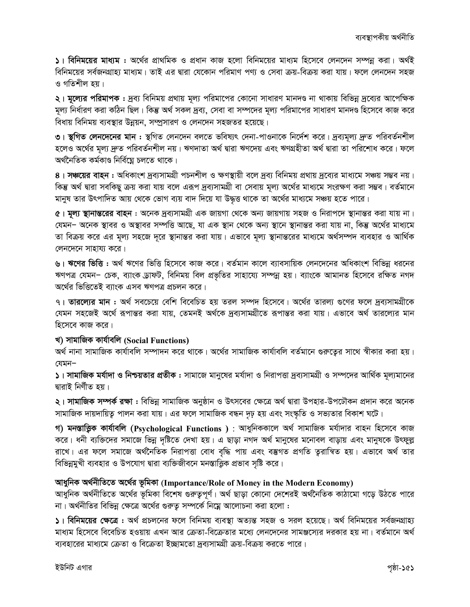১। বিনিময়ের মাধ্যম : অর্থের প্রাথমিক ও প্রধান কাজ হলো বিনিময়ের মাধ্যম হিসেবে লেনদেন সম্পন্ন করা। অর্থই বিনিময়ের সর্বজনগ্রাহ্য মাধ্যম। তাই এর দ্বারা যেকোন পরিমাণ পণ্য ও সেবা ক্রয়-বিক্রয় করা যায়। ফলে লেনদেন সহজ ও গতিশীল হয়।

২। **মূল্যের পরিমাপক :** দ্রব্য বিনিময় প্রথায় মূল্য পরিমাপের কোনো সাধারণ মানদণ্ড না থাকায় বিভিন্ন দ্রব্যের আপেক্ষিক মূল্য নির্ধারণ করা কঠিন ছিল। কিন্তু অর্থ সকল দ্রব্য, সেবা বা সম্পদের মূল্য পরিমাপের সাধারণ মানদণ্ড হিসেবে কাজ করে বিধায় বিনিময় ব্যবস্থার উন্নয়ন, সম্প্রসারণ ও লেনদেন সহজতর হয়েছে।

৩। স্থগিত লেনদেনের মান : স্থগিত লেনদেন বলতে ভবিষ্যৎ দেনা-পাওনাকে নির্দেশ করে। দ্রব্যমূল্য দ্রুত পরিবর্তনশীল হলেও অর্থের মূল্য দ্রুত পরিবর্তনশীল নয়। ঋণদাতা অর্থ দ্বারা ঋণদেয় এবং ঋণগ্রহীতা অর্থ দ্বারা তা পরিশোধ করে। ফলে অৰ্থনৈতিক কৰ্মকাণ্ড নিৰ্বিঘ্নে চলতে থাকে।

৪। সঞ্চয়ের বাহন : অধিকাংশ দ্রব্যসামগ্রী পচনশীল ও ক্ষণস্থায়ী বলে দ্রব্য বিনিময় প্রথায় দ্রব্যের মাধ্যমে সঞ্চয় সম্ভব নয়। কিন্তু অর্থ দ্বারা সবকিছু ক্রয় করা যায় বলে এরূপ দ্রব্যসামগ্রী বা সেবায় মূল্য অর্থের মাধ্যমে সংরক্ষণ করা সম্ভব। বর্তমানে মানুষ তার উৎপাদিত আয় থেকে ভোগ ব্যয় বাদ দিয়ে যা উদ্ধত্ত থাকে তা অর্থের মাধ্যমে সঞ্চয় হতে পারে।

৫। মূল্য স্থানান্তরের বাহন : অনেক দ্রব্যসামগ্রী এক জায়গা থেকে অন্য জায়গায় সহজ ও নিরাপদে স্থানান্তর করা যায় না। যেমন– অনেক স্থাবর ও অস্থাবর সম্পত্তি আছে, যা এক স্থান থেকে অন্য স্থানে স্থানান্তর করা যায় না, কিন্তু অর্থের মাধ্যমে তা বিক্রয় করে এর মূল্য সহজে দূরে স্থানান্তর করা যায়। এভাবে মূল্য স্থানান্তরের মাধ্যমে অর্থসম্পদ ব্যবহার ও আর্থিক লেনদেনে সাহায্য করে।

৬। ঋণের ভিত্তি : অর্থ ঋণের ভিত্তি হিসেবে কাজ করে। বর্তমান কালে ব্যাবসায়িক লেনদেনের অধিকাংশ বিভিন্ন ধরনের ঋণপত্র যেমন- চেক, ব্যাংক ড্রাফট, বিনিময় বিল প্রভৃতির সাহায্যে সম্পন্ন হয়। ব্যাংকে আমানত হিসেবে রক্ষিত নগদ অৰ্থের ভিত্তিতেই ব্যাংক এসব ঋণপত্র প্রচলন করে।

৭। তারল্যের মান : অর্থ সবচেয়ে বেশি বিবেচিত হয় তরল সম্পদ হিসেবে। অর্থের তারল্য গুণের ফলে দ্রব্যসামগ্রীকে যেমন সহজেই অর্থে রূপান্তর করা যায়, তেমনই অর্থকে দ্রব্যসামগ্রীতে রূপান্তর করা যায়। এভাবে অর্থ তারল্যের মান হিসেবে কাজ করে।

#### খ) সামাজিক কাৰ্যাবলি (Social Functions)

অর্থ নানা সামাজিক কার্যাবলি সম্পাদন করে থাকে। অর্থের সামাজিক কার্যাবলি বর্তমানে গুরুত্বের সাথে স্বীকার করা হয়। যেমন–

১। সামাজিক মর্যাদা ও নিশ্চয়তার প্রতীক : সামাজে মানুষের মর্যাদা ও নিরাপত্তা দ্রব্যসামগ্রী ও সম্পদের আর্থিক মূল্যমানের দ্বারাই নির্ণীত হয়।

২। সামাজিক সম্পর্ক রক্ষা : বিভিন্ন সামাজিক অনুষ্ঠান ও উৎসবের ক্ষেত্রে অর্থ দ্বারা উপহার-উপঢৌকন প্রদান করে অনেক সামাজিক দায়দায়িত্ব পালন করা যায়। এর ফলে সামাজিক বন্ধন দূঢ় হয় এবং সংস্কৃতি ও সভ্যতার বিকাশ ঘটে।

গ) মনস্তাত্ত্বিক কাৰ্যাবলি (Psychological Functions): আধুনিককালে অৰ্থ সামাজিক মৰ্যাদার বাহন হিসেবে কাজ করে। ধনী ব্যক্তিদের সমাজে ভিন্ন দৃষ্টিতে দেখা হয়। এ ছাড়া নগদ অর্থ মানুষের মনোবল বাড়ায় এবং মানুষকে উৎফুল্ল রাখে। এর ফলে সমাজে অর্থনৈতিক নিরাপত্তা বোধ বৃদ্ধি পায় এবং বম্ভগত প্রগতি তুরান্বিত হয়। এভাবে অর্থ তার বিভিন্নমুখী ব্যবহার ও উপযোগ দ্বারা ব্যক্তিজীবনে মনস্তাত্ত্বিক প্রভাব সৃষ্টি করে।

#### আধুনিক অৰ্থনীতিতে অৰ্থের ভূমিকা (Importance/Role of Money in the Modern Economy)

আধুনিক অৰ্থনীতিতে অৰ্থের ভূমিকা বিশেষ গুরুতুপূর্ণ। অর্থ ছাড়া কোনো দেশেরই অর্থনৈতিক কাঠামো গড়ে উঠতে পারে না। অর্থনীতির বিভিন্ন ক্ষেত্রে অর্থের গুরুতু সম্পর্কে নিম্নে আলোচনা করা হলো :

১। বিনিময়ের ক্ষেত্রে : অর্থ প্রচলনের ফলে বিনিময় ব্যবস্থা অত্যন্ত সহজ ও সরল হয়েছে। অর্থ বিনিময়ের সর্বজনগ্রাহ্য মাধ্যম হিসেবে বিবেচিত হওয়ায় এখন আর ক্রেতা-বিক্রেতার মধ্যে লেনদেনের সামঞ্জস্যের দরকার হয় না। বর্তমানে অর্থ ব্যবহারের মাধ্যমে ক্রেতা ও বিক্রেতা ইচ্ছামতো দ্রব্যসামগ্রী ক্রয়-বিক্রয় করতে পারে।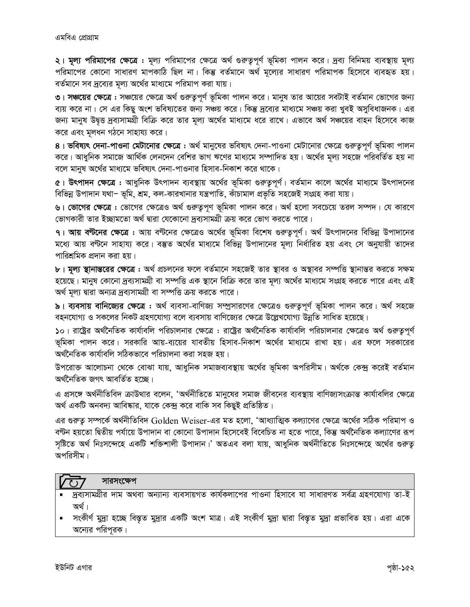২। মূল্য পরিমাপের ক্ষেত্রে : মূল্য পরিমাপের ক্ষেত্রে অর্থ গুরুত্বপূর্ণ ভূমিকা পালন করে। দ্রব্য বিনিময় ব্যবস্থায় মূল্য পরিমাপের কোনো সাধারণ মাপকাঠি ছিল না। কিন্তু বর্তমানে অর্থ মূল্যের সাধারণ পরিমাপক হিসেবে ব্যবহৃত হয়। বর্তমানে সব দ্রব্যের মূল্য অর্থের মাধ্যমে পরিমাপ করা যায়।

৩। **সঞ্চয়ের ক্ষেত্রে :** সঞ্চয়ের ক্ষেত্রে অর্থ গুরুত্বপূর্ণ ভূমিকা পালন করে। মানুষ তার আয়ের সবটাই বর্তমান ভোগের জন্য ব্যয় করে না। সে এর কিছু অংশ ভবিষ্যতের জন্য সঞ্চয় করে। কিন্তু দ্রব্যের মাধ্যমে সঞ্চয় করা খুবই অসুবিধাজনক। এর জন্য মানুষ উদ্বত্ত দ্রব্যসামগ্রী বিক্রি করে তার মূল্য অর্থের মাধ্যমে ধরে রাখে। এভাবে অর্থ সঞ্চয়ের বাহন হিসেবে কাজ করে এবং মূলধন গঠনে সাহায্য করে।

৪। **ভবিষ্যৎ দেনা-পাওনা মেটানোর ক্ষেত্রে :** অর্থ মানুষের ভবিষ্যৎ দেনা-পাওনা মেটানোর ক্ষেত্রে গুরুত্বপূর্ণ ভূমিকা পালন করে। আধুনিক সমাজে আর্থিক লেনদেন বেশির ভাগ ঋণের মাধ্যমে সম্পাদিত হয়। অর্থের মূল্য সহজে পরিবর্তিত হয় না বলে মানুষ অর্থের মাধ্যমে ভবিষ্যৎ দেনা-পাওনার হিসাব-নিকাশ করে থাকে।

৫। **উৎপাদন ক্ষেত্রে :** আধুনিক উৎপাদন ব্যবস্থায় অর্থের ভূমিকা গুরুত্বপূর্ণ। বর্তমান কালে অর্থের মাধ্যমে উৎপাদনের বিভিন্ন উপাদান যথা– ভূমি, শ্রম, কল-কারখানার যন্ত্রপাতি, কাঁচামাল প্রভৃতি সহজেই সংগ্রহ করা যায়।

৬। ভোগের ক্ষেত্রে : ভোগের ক্ষেত্রেও অর্থ গুরুত্বপূণ ভূমিকা পালন করে। অর্থ হলো সবচেয়ে তরল সম্পদ। যে কারণে ভোগকারী তার ইচ্ছামতো অর্থ দ্বারা যেকোনো দ্রব্যসামগ্রী ক্রয় করে ভোগ করতে পারে।

৭। আয় বন্টনের ক্ষেত্রে : আয় বন্টনের ক্ষেত্রেও অর্থের ভূমিকা বিশেষ গুরুতুপূর্ণ। অর্থ উৎপাদনের বিভিন্ন উপাদানের মধ্যে আয় বণ্টনে সাহায্য করে। বস্তুত অর্থের মাধ্যমে বিভিন্ন উপাদানের মূল্য নির্ধারিত হয় এবং সে অনুযায়ী তাদের পারিশ্রমিক প্রদান করা হয়।

৮। মূল্য স্থানান্তরের ক্ষেত্রে : অর্থ প্রচলনের ফলে বর্তমানে সহজেই তার স্থাবর ও অস্থাবর সম্পত্তি স্থানান্তর করতে সক্ষম হয়েছে। মানুষ কোনো দ্রব্যসামগ্রী বা সম্পত্তি এক স্থানে বিক্রি করে তার মূল্য অর্থের মাধ্যমে সংগ্রহ করতে পারে এবং এই অর্থ মূল্য দ্বারা অন্যত্র দ্রব্যসামগ্রী বা সম্পত্তি ক্রয় করতে পারে।

৯। ব্যবসায় বানিজ্যের ক্ষেত্রে : অর্থ ব্যবসা-বাণিজ্য সম্প্রসারণের ক্ষেত্রেও গুরুত্বপূর্ণ ভূমিকা পালন করে। অর্থ সহজে বহনযোগ্য ও সকলের নিকট গ্রহণযোগ্য বলে ব্যবসায় বাণিজ্যের ক্ষেত্রে উল্লেখযোগ্য উন্নতি সাধিত হয়েছে।

১০। রাষ্ট্রের অর্থনৈতিক কার্যাবলি পরিচালনার ক্ষেত্রে : রাষ্ট্রের অর্থনৈতিক কার্যাবলি পরিচালনার ক্ষেত্রেও অর্থ গুরুতুপূর্ণ ভূমিকা পালন করে। সরকারি আয়-ব্যয়ের যাবতীয় হিসাব-নিকাশ অর্থের মাধ্যমে রাখা হয়। এর ফলে সরকারের অৰ্থনৈতিক কাৰ্যাবলি সঠিকভাবে পরিচালনা করা সহজ হয়।

উপরোক্ত আলোচনা থেকে বোঝা যায়, আধুনিক সমাজব্যবস্থায় অর্থের ভূমিকা অপরিসীম। অর্থকে কেন্দ্র করেই বর্তমান অৰ্থনৈতিক জগৎ আবৰ্তিত হচ্ছে।

এ প্রসঙ্গে অর্থনীতিবিদ ক্রাউথার বলেন, 'অর্থনীতিতে মানুষের সমাজ জীবনের ব্যবস্থায় বাণিজ্যসংক্রান্ত কার্যাবলির ক্ষেত্রে অর্থ একটি অনবদ্য আবিষ্কার, যাকে কেন্দ্র করে বাকি সব কিছুই প্রতিষ্ঠিত।

এর গুরুত্ব সম্পর্কে অর্থনীতিবিদ Golden Weiser-এর মত হলো, 'আধ্যাত্মিক কল্যাণের ক্ষেত্রে অর্থের সঠিক পরিমাপ ও বণ্টন হয়তো দ্বিতীয় পর্যায়ে উপাদান বা কোনো উপাদান হিসেবেই বিবেচিত না হতে পারে, কিন্তু অর্থনৈতিক কল্যাণের রূপ সৃষ্টিতে অৰ্থ নিঃসন্দেহে একটি শক্তিশালী উপাদান।' অতএব বলা যায়, আধুনিক অৰ্থনীতিতে নিঃসন্দেহে অৰ্থের গুরুত্ব অপরিসীম।

#### সারসংক্ষেপ  $\sqrt{2}$

- দ্রব্যসামগ্রীর দাম অথবা অন্যান্য ব্যবসায়গত কার্যকলাপের পাওনা হিসাবে যা সাধারণত সর্বত্র গ্রহণযোগ্য তা-ই অৰ্থ।
- সংকীৰ্ণ মুদ্ৰা হচ্ছে বিস্তৃত মুদ্ৰার একটি অংশ মাত্ৰ। এই সংকীৰ্ণ মুদ্ৰা দ্বারা বিস্তৃত মুদ্ৰা প্ৰভাবিত হয়। এরা একে অন্যের পরিপূরক।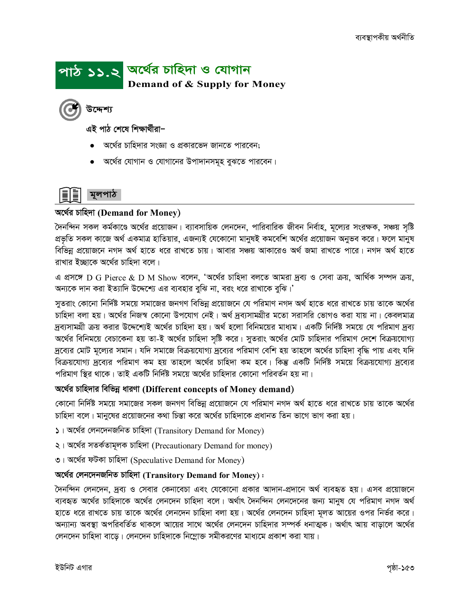## পাঠ ১১.২ অর্থের চাহিদা ও যোগান **Demand of & Supply for Money**

উদ্দেশ্য

এই পাঠ শেষে শিক্ষাৰ্থীৱা–

- অর্থের চাহিদার সংজ্ঞা ও প্রকারভেদ জানতে পারবেন;
- অর্থের যোগান ও যোগানের উপাদানসমূহ বুঝতে পারবেন।



#### অৰ্থের চাহিদা (Demand for Money)

দৈনন্দিন সকল কর্মকাণ্ডে অর্থের প্রয়োজন। ব্যাবসায়িক লেনদেন, পারিবারিক জীবন নির্বাহ, মূল্যের সংরক্ষক, সঞ্চয় সৃষ্টি প্রভৃতি সকল কাজে অর্থ একমাত্র হাতিয়ার, এজন্যই যেকোনো মানুষই কমবেশি অর্থের প্রয়োজন অনুভব করে। ফলে মানুষ বিভিন্ন প্রয়োজনে নগদ অর্থ হাতে ধরে রাখতে চায়। আবার সঞ্চয় আকারেও অর্থ জমা রাখতে পারে। নগদ অর্থ হাতে রাখার ইচ্ছাকে অর্থের চাহিদা বলে।

এ প্রসঙ্গে D G Pierce & D M Show বলেন, 'অর্থের চাহিদা বলতে আমরা দ্রব্য ও সেবা ক্রয়, আর্থিক সম্পদ ক্রয়, অন্যকে দান করা ইত্যাদি উদ্দেশ্যে এর ব্যবহার বুঝি না, বরং ধরে রাখাকে বুঝি।'

সুতরাং কোনো নির্দিষ্ট সময়ে সমাজের জনগণ বিভিন্ন প্রয়োজনে যে পরিমাণ নগদ অর্থ হাতে ধরে রাখতে চায় তাকে অর্থের চাহিদা বলা হয়। অর্থের নিজস্ব কোনো উপযোগ নেই। অর্থ দ্রব্যসামগ্রীর মতো সরাসরি ভোগও করা যায় না। কেবলমাত্র দ্রব্যসামগ্রী ক্রয় করার উদ্দেশ্যেই অর্থের চাহিদা হয়। অর্থ হলো বিনিময়ের মাধ্যম। একটি নির্দিষ্ট সময়ে যে পরিমাণ দ্রব্য অর্থের বিনিময়ে বেচাকেনা হয় তা-ই অর্থের চাহিদা সৃষ্টি করে। সুতরাং অর্থের মোট চাহিদার পরিমাণ দেশে বিক্রয়যোগ্য দ্রব্যের মোট মূল্যের সমান। যদি সমাজে বিক্রয়যোগ্য দ্রব্যের পরিমাণ বেশি হয় তাহলে অর্থের চাহিদা বৃদ্ধি পায় এবং যদি বিক্রয়যোগ্য দ্রব্যের পরিমাণ কম হয় তাহলে অর্থের চাহিদা কম হবে। কিন্তু একটি নির্দিষ্ট সময়ে বিক্রয়যোগ্য দ্রব্যের পরিমাণ স্থির থাকে। তাই একটি নির্দিষ্ট সময়ে অর্থের চাহিদার কোনো পরিবর্তন হয় না।

#### অৰ্থের চাহিদার বিভিন্ন ধারণা (Different concepts of Money demand)

কোনো নির্দিষ্ট সময়ে সমাজের সকল জনগণ বিভিন্ন প্রয়োজনে যে পরিমাণ নগদ অর্থ হাতে ধরে রাখতে চায় তাকে অর্থের চাহিদা বলে। মানুষের প্রয়োজনের কথা চিন্তা করে অর্থের চাহিদাকে প্রধানত তিন ভাগে ভাগ করা হয়।

১। অর্থের লেনদেনজনিত চাহিদা (Transitory Demand for Money)

- ২। অর্থের সতর্কতামূলক চাহিদা (Precautionary Demand for money)
- ৩। অর্থের ফটকা চাহিদা (Speculative Demand for Money)

### অৰ্থের লেনদেনজনিত চাহিদা (Transitory Demand for Money):

দৈনন্দিন লেনদেন, দ্রব্য ও সেবার কেনাবেচা এবং যেকোনো প্রকার আদান-প্রদানে অর্থ ব্যবহৃত হয়। এসব প্রয়োজনে ব্যবহৃত অর্থের চাহিদাকে অর্থের লেনদেন চাহিদা বলে। অর্থাৎ দৈনন্দিন লেনদেনের জন্য মানুষ যে পরিমাণ নগদ অর্থ হাতে ধরে রাখতে চায় তাকে অর্থের লেনদেন চাহিদা বলা হয়। অর্থের লেনদেন চাহিদা মূলত আয়ের ওপর নির্ভর করে। অন্যান্য অবস্থা অপরিবর্তিত থাকলে আয়ের সাথে অর্থের লেনদেন চাহিদার সম্পর্ক ধনাত্মক। অর্থাৎ আয় বাডালে অর্থের লেনদেন চাহিদা বাডে। লেনদেন চাহিদাকে নিম্ৰোক্ত সমীকরণের মাধ্যমে প্রকাশ করা যায়।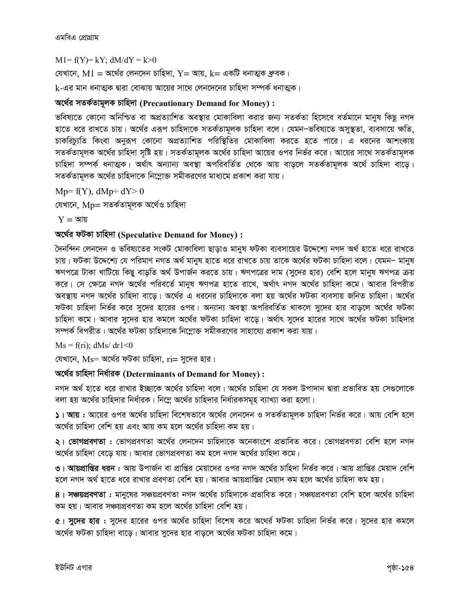এমবিএ প্রোগ্রাম

 $M1 = f(Y) = kY$ ;  $dM/dY = k > 0$ 

যেখানে,  $M1 = \pi$ র্থের লেনদেন চাহিদা,  $Y = \pi x$ ,  $k = 4 \pi 6$  ধনাত্মক ধ্রুবক।

 ${\bf k}$ -এর মান ধনাত্মক দ্বারা বোঝায় আয়ের সাথে লেনদেনের চাহিদা সম্পর্ক ধনাত্মক।

#### অৰ্থের সতৰ্কতামূলক চাহিদা (Precautionary Demand for Money) :

ভবিষ্যতে কোনো অনিশ্চিত বা অপ্রত্যাশিত অবস্থার মোকাবিলা করার জন্য সতর্কতা হিসেবে বর্তমানে মানুষ কিছু নগদ হাতে ধরে রাখতে চায়। অর্থের এরূপ চাহিদাকে সতর্কতামূলক চাহিদা বলে। যেমন–ভবিষ্যতে অসুস্থতা, ব্যবসায়ে ক্ষতি, চাকরিচ্যুতি কিংবা অনুরূপ কোনো অপ্রত্যাশিত পরিস্থিতির মোকাবিলা করতে হতে পারে। এ ধরনের আশংকায় সতর্কতামূলক অর্থের চাহিদা সৃষ্টি হয়। সতর্কতামূলক অর্থের চাহিদা আয়ের ওপর নির্ভর করে। আয়ের সাথে সতর্কতামূলক চাহিদা সম্পৰ্ক ধনাত্মক। অৰ্থাৎ অন্যান্য অবস্থা অপরিবর্তিত থেকে আয় বাড়লে সতর্কতামূলক অর্থে চাহিদা বাড়ে। সতর্কতামূলক অর্থের চাহিদাকে নিম্নোক্ত সমীকরণের মাধ্যমে প্রকাশ করা যায়।

 $Mp = f(Y)$ , dMp÷ dY> 0

যেখানে, Mp= সতৰ্কতামূলক অৰ্থেও চাহিদা

 $Y = \mathcal{A}$ য়

#### অৰ্থের ফটকা চাহিদা (Speculative Demand for Money):

দৈনন্দিন লেনদেন ও ভবিষ্যতের সংকট মোকাবিলা ছাড়াও মানুষ ফটকা ব্যবসায়ের উদ্দেশ্যে নগদ অর্থ হাতে ধরে রাখতে চায়। ফটকা উদ্দেশ্যে যে পরিমাণ নগত অর্থ মানুষ হাতে ধরে রাখতে চায় তাকে অর্থের ফটকা চাহিদা বলে। যেমন– মানুষ ঋণপত্রে টাকা খাটিয়ে কিছু বাড়তি অর্থ উপার্জন করতে চায়। ঋণপত্রের দাম (সুদের হার) বেশি হলে মানুষ ঋণপত্র ক্রয় করে। সে ক্ষেত্রে নগদ অর্থের পরিবর্তে মানুষ ঋণপত্র হাতে রাখে, অর্থাৎ নগদ অর্থের চাহিদা কমে। আবার বিপরীত অবস্থায় নগদ অর্থের চাহিদা বাড়ে। অর্থের এ ধরনের চাহিদাকে বলা হয় অর্থের ফটকা ব্যবসায় জনিত চাহিদা। অর্থের ফটকা চাহিদা নির্ভর করে সুদের হারের ওপর। অন্যান্য অবস্থা অপরিবর্তিত থাকলে সুদের হার বাড়লে অর্থের ফটকা চাহিদা কমে। আবার সুদের হার কমলে অর্থের ফটকা চাহিদা বাড়ে। অর্থাৎ সুদের হারের সাথে অর্থের ফটকা চাহিদার সম্পর্ক বিপরীত। অর্থের ফটকা চাহিদাকে নিম্লোক্ত সমীকরণের সাহায্যে প্রকাশ করা যায়।

 $Ms = f(ri); dMs/dr1 < 0$ 

যেখানে,  $Ms$ = অর্থের ফটকা চাহিদা,  $ri$ = সুদের হার।

#### অৰ্থের চাহিদা নিৰ্ধারক (Determinants of Demand for Money):

নগদ অর্থ হাতে ধরে রাখার ইচ্ছাকে অর্থের চাহিদা বলে। অর্থের চাহিদা যে সকল উপাদান দ্বারা প্রভাবিত হয় সেগুলোকে বলা হয় অর্থের চাহিদার নির্ধারক। নিম্নে অর্থের চাহিদার নির্ধারকসমূহ ব্যাখ্যা করা হলো।

১। আয় : আয়ের ওপর অর্থের চাহিদা বিশেষভাবে অর্থের লেনদেন ও সতর্কতামূলক চাহিদা নির্ভর করে। আয় বেশি হলে অর্থের চাহিদা বেশি হয় এবং আয় কম হলে অর্থের চাহিদা কম হয়।

২। ভোগপ্রবণতা : ভোগপ্রবণতা অর্থের লেনদেন চাহিদাকে অনেকাংশে প্রভাবিত করে। ভোগপ্রবণতা বেশি হলে নগদ অর্থের চাহিদা বেড়ে যায়। আবার ভোগপ্রবণতা কম হলে নগদ অর্থের চাহিদা কমে।

৩। **আয়প্রাপ্তির ধরন :** আয় উপার্জন বা প্রাপ্তির মেয়াদের ওপর নগদ অর্থের চাহিদা নির্ভর করে। আয় প্রাপ্তির মেয়াদ বেশি হলে নগদ অর্থ হাতে ধরে রাখার প্রবণতা বেশি হয়। আবার আয়প্রাপ্তির মেয়াদ কম হলে অর্থের চাহিদা কম হয়।

৪। **সঞ্চয়প্রবণতা :** মানুষের সঞ্চয়প্রবণতা নগদ অর্থের চাহিদাকে প্রভাবিত করে। সঞ্চয়প্রবণতা বেশি হলে অর্থের চাহিদা কম হয়। আবার সঞ্চয়প্রবণতা কম হলে অর্থের চাহিদা বেশি হয়।

৫। সুদের হার : সুদের হারের ওপর অর্থের চাহিদা বিশেষ করে অথের্র ফটকা চাহিদা নির্ভর করে। সুদের হার কমলে অর্থের ফটকা চাহিদা বাড়ে। আবার সুদের হার বাড়লে অর্থের ফটকা চাহিদা কমে।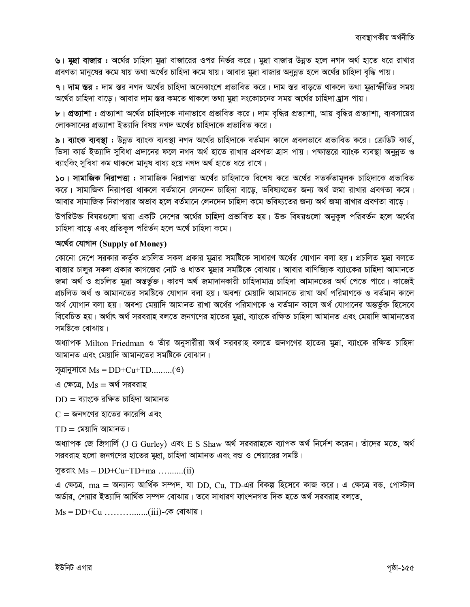৬। মুদ্রা বাজার : অর্থের চাহিদা মুদ্রা বাজারের ওপর নির্ভর করে। মুদ্রা বাজার উন্নত হলে নগদ অর্থ হাতে ধরে রাখার প্রবণতা মানুষের কমে যায় তথা অর্থের চাহিদা কমে যায়। আবার মুদ্রা বাজার অনুন্নত হলে অর্থের চাহিদা বৃদ্ধি পায়।

৭। দাম স্তর : দাম স্তর নগদ অর্থের চাহিদা অনেকাংশে প্রভাবিত করে। দাম স্তর বাড়তে থাকলে তথা মুদ্রাস্ফীতির সময় অর্থের চাহিদা বাড়ে। আবার দাম স্তর কমতে থাকলে তথা মুদ্রা সংকোচনের সময় অর্থের চাহিদা হ্রাস পায়।

৮। প্রত্যাশা : প্রত্যাশা অর্থের চাহিদাকে নানাভাবে প্রভাবিত করে। দাম বৃদ্ধির প্রত্যাশা, আয় বৃদ্ধির প্রত্যাশা, ব্যবসায়ের লোকসানের প্রত্যাশা ইত্যাদি বিষয় নগদ অর্থের চাহিদাকে প্রভাবিত করে।

৯। ব্যাংক ব্যবস্থা : উন্নত ব্যাংক ব্যবস্থা নগদ অর্থের চাহিদাকে বর্তমান কালে প্রবলভাবে প্রভাবিত করে। ক্রেডিট কার্ড, ভিসা কার্ড ইত্যাদি সুবিধা প্রদানের ফলে নগদ অর্থ হাতে রাখার প্রবণতা হাস পায়। পক্ষান্তরে ব্যাংক ব্যবস্থা অনুন্নত ও ব্যাংকিং সুবিধা কম থাকলে মানুষ বাধ্য হয়ে নগদ অৰ্থ হাতে ধরে রাখে।

১০। সামাজিক নিরাপত্তা : সামাজিক নিরাপত্তা অর্থের চাহিদাকে বিশেষ করে অর্থের সতর্কতামূলক চাহিদাকে প্রভাবিত করে। সামাজিক নিরাপত্তা থাকলে বর্তমানে লেনদেন চাহিদা বাড়ে, ভবিষ্যৎতের জন্য অর্থ জমা রাখার প্রবণতা কমে। আবার সামাজিক নিরাপত্তার অভাব হলে বর্তমানে লেনদেন চাহিদা কমে ভবিষ্যতের জন্য অর্থ জমা রাখার প্রবণতা বাড়ে।

উপরিউক্ত বিষয়গুলো দ্বারা একটি দেশের অর্থের চাহিদা প্রভাবিত হয়। উক্ত বিষয়গুলো অনুকূল পরিবর্তন হলে অর্থের চাহিদা বাড়ে এবং প্রতিকূল পরির্তন হলে অর্থে চাহিদা কমে।

#### অর্থের যোগান (Supply of Money)

কোনো দেশে সরকার কর্তৃক প্রচলিত সকল প্রকার মুদ্রার সমষ্টিকে সাধারণ অর্থের যোগান বলা হয়। প্রচলিত মুদ্রা বলতে বাজার চালুর সকল প্রকার কাগজের নোট ও ধাতব মুদ্রার সমষ্টিকে বোঝায়। আবার বাণিজ্যিক ব্যাংকের চাহিদা আমানতে জমা অৰ্থ ও প্ৰচলিত মুদ্ৰা অন্তৰ্ভুক্ত। কারণ অৰ্থ জমাদানকারী চাহিদামাত্র চাহিদা আমানতের অৰ্থ পেতে পারে। কাজেই প্রচলিত অর্থ ও আমানতের সমষ্টিকে যোগান বলা হয়। অবশ্য মেয়াদি আমানতে রাখা অর্থ পরিমাণকে ও বর্তমান কালে অৰ্থ যোগান বলা হয়। অবশ্য মেয়াদি আমানত রাখা অর্থের পরিমাণকে ও বর্তমান কালে অর্থ যোগানের অন্তর্ভুক্ত হিসেবে বিবেচিত হয়। অর্থাৎ অর্থ সরবরাহ বলতে জনগণের হাতের মুদ্রা, ব্যাংকে রক্ষিত চাহিদা আমানত এবং মেয়াদি আমানতের সমষ্টিকে বোঝায়।

অধ্যাপক Milton Friedman ও তাঁর অনুসারীরা অর্থ সরবরাহ বলতে জনগণের হাতের মুদ্রা, ব্যাংকে রক্ষিত চাহিদা আমানত এবং মেয়াদি আমানতের সমষ্টিকে বোঝান।

সূত্রানুসারে  $Ms = DD+Cu+TD........(9)$ 

এ ক্ষেত্রে,  $\text{Ms} = \text{w} \text{v} \text{w}$ সরবরাহ

 $DD = \pi$ াংকে রক্ষিত চাহিদা আমানত

 $C =$  জনগণের হাতের কারেন্সি এবং

 $TD =$  মেয়াদি আমানত।

অধ্যাপক জে জিগার্লি (J G Gurley) এবং E S Shaw অর্থ সরবরাহকে ব্যাপক অর্থ নির্দেশ করেন। তাঁদের মতে, অর্থ সরবরাহ হলো জনগণের হাতের মুদ্রা, চাহিদা আমানত এবং বন্ড ও শেয়ারের সমষ্টি।

সুতরাং  $Ms = DD+Cu+TD+ma$  ..........(ii)

এ ক্ষেত্রে, ma = অন্যান্য আর্থিক সম্পদ, যা DD, Cu, TD-এর বিকল্প হিসেবে কাজ করে। এ ক্ষেত্রে বন্ড, পোস্টাল অৰ্ডার, শেয়ার ইত্যাদি আৰ্থিক সম্পদ বোঝায়। তবে সাধারণ ফাংশনগত দিক হতে অর্থ সরবরাহ বলতে,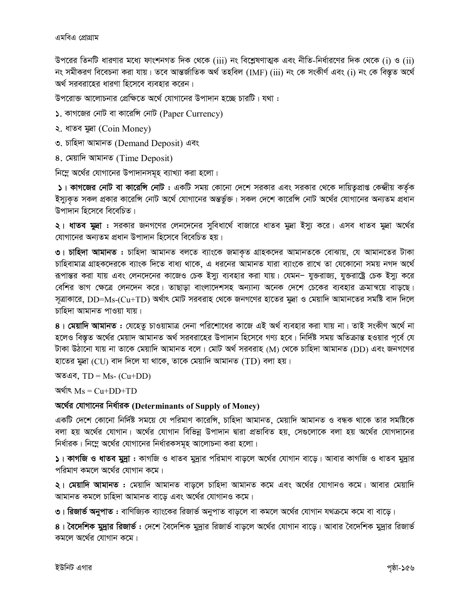উপরের তিনটি ধারণার মধ্যে ফাংশনগত দিক থেকে (iii) নং বিশ্লেষণাত্মক এবং নীতি-নির্ধারণের দিক থেকে (i) ও (ii) নং সমীকরণ বিবেচনা করা যায়। তবে আন্তর্জাতিক অর্থ তহবিল (IMF) (iii) নং কে সংকীর্ণ এবং (i) নং কে বিস্তৃত অর্থে অর্থ সরবরাহের ধারণা হিসেবে ব্যবহার করেন।

উপরোক্ত আলোচনার প্রেক্ষিতে অর্থে যোগানের উপাদান হচ্ছে চারটি। যথা :

- $\mathsf{\Sigma}$ . কাগজের নোট বা কারেন্সি নোট (Paper Currency)
- ২. ধাতব মুদ্ৰা (Coin Money)
- ৩. চাহিদা আমানত (Demand Deposit) এবং
- 8. মেয়াদি আমানত (Time Deposit)

নিম্নে অর্থের যোগানের উপাদানসমূহ ব্যাখ্যা করা হলো।

১। কাগজের নোট বা কারেন্সি নোট : একটি সময় কোনো দেশে সরকার এবং সরকার থেকে দায়িত্বপ্রাপ্ত কেন্দ্রীয় কর্তৃক ইস্যুকৃত সকল প্রকার কারেন্সি নোট অর্থে যোগানের অন্তর্ভুক্ত। সকল দেশে কারেন্সি নোট অর্থের যোগানের অন্যতম প্রধান উপাদান হিসেবে বিবেচিত।

**২। ধাতব মুদ্রা :** সরকার জনগণের লেনদেনের সুবিধার্থে বাজারে ধাতব মুদ্রা ইস্যু করে। এসব ধাতব মুদ্রা অর্থের যোগানের অন্যতম প্রধান উপাদান হিসেবে বিবেচিত হয়।

৩। চাহিদা আমানত : চাহিদা আমানত বলতে ব্যাংকে জমাকৃত গ্রাহকদের আমানতকে বোঝায়, যে আমানতের টাকা চাহিবামাত্র গ্রাহকদেরকে ব্যাংক দিতে বাধ্য থাকে, এ ধরনের আমানত যারা ব্যাংকে রাখে তা যেকোনো সময় নগদ অর্থে রূপান্তর করা যায় এবং লেনদেনের কাজেও চেক ইস্যু ব্যবহার করা যায়। যেমন– যুক্তরাজ্য, যুক্তরাষ্ট্রে চেক ইস্যু করে বেশির ভাগ ক্ষেত্রে লেনদেন করে। তাছাড়া বাংলাদেশসহ অন্যান্য অনেক দেশে চেকের ব্যবহার ক্রমান্বয়ে বাড়ছে। সূত্রাকারে, DD=Ms-(Cu+TD) অর্থাৎ মোট সরবরাহ থেকে জনগণের হাতের মুদ্রা ও মেয়াদি আমানতের সমষ্টি বাদ দিলে চাহিদা আমানত পাওয়া যায়।

৪। মেয়াদি আমানত : যেহেতু চাওয়ামাত্র দেনা পরিশোধের কাজে এই অর্থ ব্যবহার করা যায় না। তাই সংকীণ অর্থে না হলেও বিস্তৃত অর্থের মেয়াদ আমানত অর্থ সরবরাহের উপাদান হিসেবে গণ্য হবে। নির্দিষ্ট সময় অতিক্রান্ত হওয়ার পূর্বে যে টাকা উঠানো যায় না তাকে মেয়াদি আমানত বলে। মোট অর্থ সরবরাহ (M) থেকে চাহিদা আমানত (DD) এবং জনগণের হাতের মুদ্রা (CU) বাদ দিলে যা থাকে, তাকে মেয়াদি আমানত (TD) বলা হয়।

অতএব,  $TD = Ms - (Cu+DD)$ 

অর্থাৎ  $Ms = Cu+DD+TD$ 

### অর্থের যোগানের নির্ধারক (Determinants of Supply of Money)

একটি দেশে কোনো নির্দিষ্ট সময়ে যে পরিমাণ কারেন্সি, চাহিদা আমানত, মেয়াদি আমানত ও বন্ধক থাকে তার সমষ্টিকে বলা হয় অর্থের যোগান। অর্থের যোগান বিভিন্ন উপাদান দ্বারা প্রভাবিত হয়, সেগুলোকে বলা হয় অর্থের যোগদানের নির্ধারক। নিম্নে অর্থের যোগানের নির্ধারকসমূহ আলোচনা করা হলো।

**১। কাগজি ও ধাতব মুদ্রা :** কাগজি ও ধাতব মুদ্রার পরিমাণ বাড়লে অর্থের যোগান বাড়ে। আবার কাগজি ও ধাতব মুদ্রার পরিমাণ কমলে অর্থের যোগান কমে।

২। মেয়াদি আমানত : মেয়াদি আমানত বাড়লে চাহিদা আমানত কমে এবং অর্থের যোগানও কমে। আবার মেয়াদি আমানত কমলে চাহিদা আমানত বাড়ে এবং অর্থের যোগানও কমে।

**৩। রিজার্ভ অনুপাত :** বাণিজ্যিক ব্যাংকের রিজার্ভ অনুপাত বাড়লে বা কমলে অর্থের যোগান যথক্রমে কমে বা বাড়ে।

৪। **বৈদেশিক মুদ্রার রিজার্ভ :** দেশে বৈদেশিক মুদ্রার রিজার্ভ বাড়লে অর্থের যোগান বাড়ে। আবার বৈদেশিক মুদ্রার রিজার্ভ কমলে অর্থের যোগান কমে।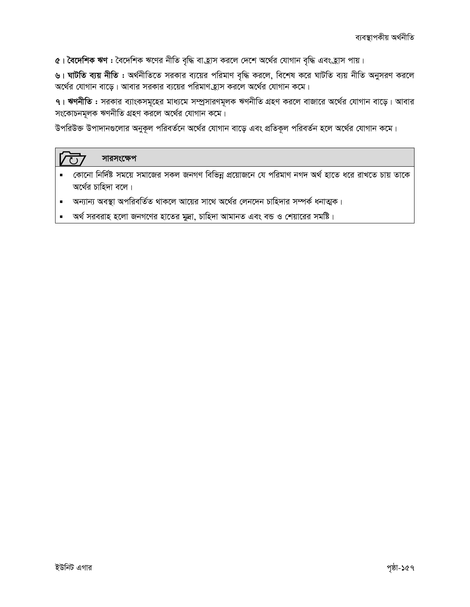৫। বৈদেশিক ঋণ : বৈদেশিক ঋণের নীতি বৃদ্ধি বা হ্রাস করলে দেশে অর্থের যোগান বৃদ্ধি এবং হ্রাস পায়।

৬। ঘাটতি ব্যয় নীতি : অর্থনীতিতে সরকার ব্যয়ের পরিমাণ বৃদ্ধি করলে, বিশেষ করে ঘাটতি ব্যয় নীতি অনুসরণ করলে অর্থের যোগান বাড়ে। আবার সরকার ব্যয়ের পরিমাণ হ্রাস করলে অর্থের যোগান কমে।

৭। ঋণনীতি : সরকার ব্যাংকসমূহের মাধ্যমে সম্প্রসারণমূলক ঋণনীতি গ্রহণ করলে বাজারে অর্থের যোগান বাড়ে। আবার সংকোচনমূলক ঋণনীতি গ্রহণ করলে অর্থের যোগান কমে।

উপরিউক্ত উপাদানগুলোর অনুকূল পরিবর্তনে অর্থের যোগান বাড়ে এবং প্রতিকূল পরিবর্তন হলে অর্থের যোগান কমে।

#### সারসংক্ষেপ  $\overline{\mathcal{F}}$

- কোনো নির্দিষ্ট সময়ে সমাজের সকল জনগণ বিভিন্ন প্রয়োজনে যে পরিমাণ নগদ অর্থ হাতে ধরে রাখতে চায় তাকে অর্থের চাহিদা বলে।
- অন্যান্য অবস্থা অপরিবর্তিত থাকলে আয়ের সাথে অর্থের লেনদেন চাহিদার সম্পর্ক ধনাত্মক।  $\blacksquare$
- অর্থ সরবরাহ হলো জনগণের হাতের মুদ্রা, চাহিদা আমানত এবং বন্ড ও শেয়ারের সমষ্টি।  $\blacksquare$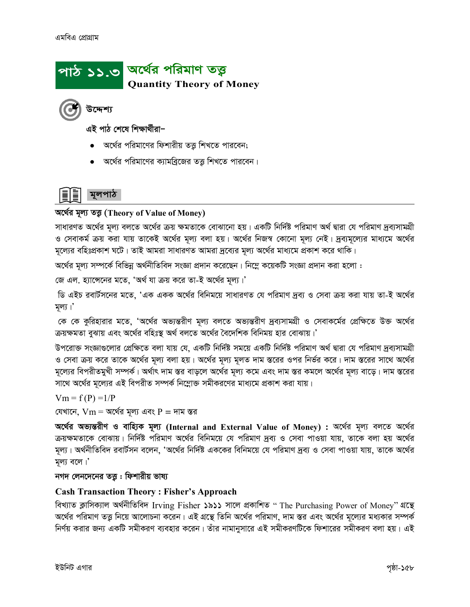## পাঠ ১১.৩ <mark>অর্থে</mark>র পরিমাণ তত্ত্ব **Quantity Theory of Money**

উদ্দেশ্য

এই পাঠ শেষে শিক্ষাৰ্থীরা–

- অর্থের পরিমাণের ফিশারীয় তত্তু শিখতে পারবেন;
- অর্থের পরিমাণের ক্যামব্রিজের তত্তু শিখতে পারবেন।



#### অৰ্থের মূল্য তত্ত (Theory of Value of Money)

সাধারণত অর্থের মূল্য বলতে অর্থের ক্রয় ক্ষমতাকে বোঝানো হয়। একটি নির্দিষ্ট পরিমাণ অর্থ দ্বারা যে পরিমাণ দ্রব্যসামগ্রী ও সেবাকর্ম ক্রয় করা যায় তাকেই অর্থের মূল্য বলা হয়। অর্থের নিজস্ব কোনো মূল্য নেই। দ্রব্যমূল্যের মাধ্যমে অর্থের মূল্যের বহিঃপ্রকাশ ঘটে। তাই আমরা সাধারণত আমরা দ্রব্যের মূল্য অর্থের মাধ্যমে প্রকাশ করে থাকি।

অর্থের মূল্য সম্পর্কে বিভিন্ন অর্থনীতিবিদ সংজ্ঞা প্রদান করেছেন। নিম্নে কয়েকটি সংজ্ঞা প্রদান করা হলো :

জে এল. হ্যাসেনের মতে, 'অর্থ যা ক্রয় করে তা-ই অর্থের মূল্য।'

ডি এইচ রবার্টসনের মতে, 'এক একক অর্থের বিনিময়ে সাধারণত যে পরিমাণ দ্রব্য ও সেবা ক্রয় করা যায় তা-ই অর্থের মূল্য।'

কে কে কুরিহারার মতে, 'অর্থের অভ্যন্তরীণ মূল্য বলতে অভ্যন্তরীণ দ্রব্যসামগ্রী ও সেবাকর্মের প্রেক্ষিতে উক্ত অর্থের ক্রয়ক্ষমতা বুঝায় এবং অর্থের বহিঃস্থ অর্থ বলতে অর্থের বৈদেশিক বিনিময় হার বোঝায়।'

উপরোক্ত সংজ্ঞাগুলোর প্রেক্ষিতে বলা যায় যে, একটি নির্দিষ্ট সময়ে একটি নির্দিষ্ট পরিমাণ অর্থ দ্বারা যে পরিমাণ দ্রব্যসামগ্রী ও সেবা ক্রয় করে তাকে অর্থের মূল্য বলা হয়। অর্থের মূল্য মূলত দাম স্তরের ওপর নির্ভর করে। দাম স্তরের সাথে অর্থের মূল্যের বিপরীতমুখী সম্পর্ক। অর্থাৎ দাম স্তর বাড়লে অর্থের মূল্য কমে এবং দাম স্তর কমলে অর্থের মূল্য বাড়ে। দাম স্তরের সাথে অর্থের মূল্যের এই বিপরীত সম্পর্ক নিম্নোক্ত সমীকরণের মাধ্যমে প্রকাশ করা যায়।

 $Vm = f(P) = 1/P$ 

যেখানে,  $Vm = \alpha$ র্থের মূল্য এবং  $P = \alpha\pi$  ন্তর

অৰ্থের অভ্যন্তরীণ ও বাহ্যিক মূল্য (Internal and External Value of Money) : অর্থের মূল্য বলতে অর্থের ক্রয়ক্ষমতাকে বোঝায়। নির্দিষ্ট পরিমাণ অর্থের বিনিময়ে যে পরিমাণ দ্রব্য ও সেবা পাওয়া যায়, তাকে বলা হয় অর্থের মূল্য। অর্থনীতিবিদ রবার্টসন বলেন, 'অর্থের নির্দিষ্ট এককের বিনিময়ে যে পরিমাণ দ্রব্য ও সেবা পাওয়া যায়, তাকে অর্থের মূল্য বলে।'

#### নগদ লেনদেনের তত্তু : ফিশারীয় ভাষ্য

#### **Cash Transaction Theory: Fisher's Approach**

বিখ্যাত ক্লাসিক্যাল অৰ্থনীতিবিদ Irving Fisher ১৯১১ সালে প্ৰকাশিত " The Purchasing Power of Money" থন্থে অর্থের পরিমাণ তত্তু নিয়ে আলোচনা করেন। এই গ্রন্থে তিনি অর্থের পরিমাণ, দাম স্তর এবং অর্থের মূল্যের মধ্যকার সম্পর্ক নির্ণয় করার জন্য একটি সমীকরণ ব্যবহার করেন। তাঁর নামানুসারে এই সমীকরণটিকে ফিশারের সমীকরণ বলা হয়। এই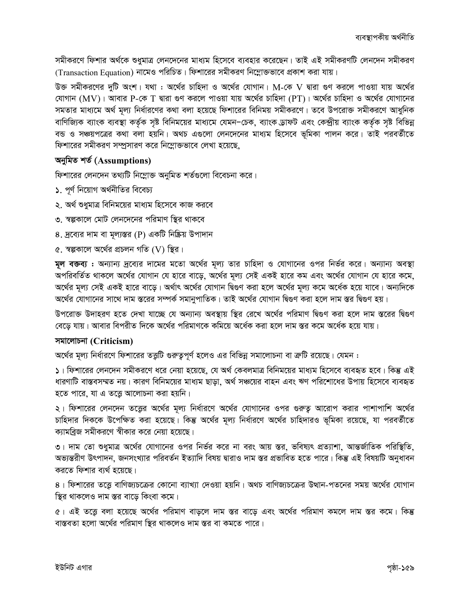সমীকরণে ফিশার অর্থকে শুধুমাত্র লেনদেনের মাধ্যম হিসেবে ব্যবহার করেছেন। তাই এই সমীকরণটি লেনদেন সমীকরণ *(Transaction Equation) নামেও পরিচিত। ফিশারের সমীকরণ নিম্নোক্তভাবে প্রকাশ করা যায়।* 

 $\bar{c}$ ক্ত সমীকরণের দুটি অংশ। যথা : অর্থের চাহিদা ও অর্থের যোগান। M-কে  $V$  দ্বারা গুণ করলে পাওয়া যায় অর্থের *†hvMvb (*MV*)| Avevi* P*-†K* T *Øviv ¸Y Ki‡j cvIqv hvq A‡\_©i Pvwn`v* (PT)*| A‡\_©i Pvwn`v I A‡\_©i †hvMv‡bi*  সমতার মাধ্যমে অর্থ মূল্য নির্ধারণের কথা বলা হয়েছে ফিশারের বিনিময় সমীকরণে। তবে উপরোক্ত সমীকরণে আধুনিক *evwYwR¨K e¨vsK e¨e¯'v KZ©…K m"ó wewbg‡qi gva¨‡g †hgbцPK, e¨vsK W«vdU Ges †K›`ªxq e¨vsK KZ©…K m"ó wewfbœ*  বন্ড ও সঞ্চয়পত্রের কথা বলা হয়নি। অথচ এগুলো লেনদেনের মাধ্যম হিসেবে ভূমিকা পালন করে। তাই পরবর্তীতে *ফিশারের সমীকরণ সম্প্র*সারণ করে নিম্লোক্তভাবে লেখা হয়েছে.

#### *AbywgZ kZ© (***Assumptions)**

ফিশারের লেনদেন তথ্যটি নিম্নোক্ত অনুমিত শর্তগুলো বিবেচনা করে।

- ১. পূর্ণ নিয়োগ অর্থনীতির বিবেচ্য
- ২. অৰ্থ শুধুমাত্ৰ বিনিময়ের মাধ্যম হিসেবে কাজ করবে
- *3. ¯^íKv‡j †gvU †jb‡`‡bi cwigvY w¯'i \_vK‡e*
- 8. দ্রব্যের দাম বা মূল্যস্তর (P) একটি নিষ্ক্রিয় উপাদান
- *৫. স্বল্পকালে অর্থের প্রচলন গতি (V) স্থির*।

**মূল বক্তব্য : অ**ন্যান্য দ্রব্যের দামের মতো অর্থের মূল্য তার চাহিদা ও যোগানের ওপর নির্ভর করে। অন্যান্য অবস্থা *AcwiewZ©Z \_vK‡j A‡\_©i †hvMvb †h nv‡i ev‡o, A‡\_©i g~j¨ †mB GKB nv‡i Kg Ges A‡\_©i †hvMvb †h nv‡i K‡g, A‡\_©i g~j¨ †mB GKB nv‡i ev‡o| A\_©vr A‡\_©i †hvMvb wظY Kiv n‡j A‡\_©i g~j¨ K‡g A‡a©K n‡q hv‡e| Ab¨w`‡K*  স্বর্থের যোগানের সাথে দাম স্তরের সম্পর্ক সমানুপাতিক। তাই অর্থের যোগান দ্বিগুণ করা হলে দাম স্তর দ্বিগুণ হয়।

*Dc‡iv³ D`vniY n‡Z †`Lv hv‡"Q †h Ab¨vb¨ Ae¯'vq w¯'i †i‡L A‡\_©i cwigvY wظY Kiv n‡j `vg ¯Í‡ii wظY †e‡o hvq| Avevi wecixZ w`‡K A‡\_©i cwigvY‡K Kwg‡q A‡a©K Kiv n‡j `vg ¯Íi K‡g A‡a©K n‡q hvq|* 

#### *mgv‡jvPbv* **(Criticism)**

সর্থের মূল্য নির্ধারণে ফিশারের তত্ত্বটি গুরুত্বপূর্ণ হলেও এর বিভিন্ন সমালোচনা বা ক্রটি রয়েছে। যেমন :

*1| wdkv‡ii †jb‡`b mgxKi‡Y a‡i †bqv n‡q‡Q, †h A\_© †KejgvÎ wewbg‡qi gva¨g wn‡m‡e e¨eüZ n‡e| wKš' GB*  ধারণাটি বাস্তবসম্মত নয়। কারণ বিনিময়ের মাধ্যম ছাড়া, অর্থ সঞ্চয়ের বাহন এবং ঋণ পরিশোধের উপায় হিসেবে ব্যবহৃত হতে পারে, যা এ তত্ত্বে আলোচনা করা হয়নি।

 $2$ । ফিশারের লেনদেন তত্ত্বের অর্থের মূল্য নির্ধারণে অর্থের যোগানের ওপর গুরুত্ব আরোপ করার পাশাপাশি অর্থের *চা*হিদার দিককে উপেক্ষিত করা হয়েছে। কিন্তু অর্থের মূল্য নির্ধারণে অর্থের চাহিদারও ভূমিকা রয়েছে, যা পরবর্তীতে ক্যামব্রিজ সমীকরণে স্বীকার করে নেয়া হয়েছে।

৩। দাম তো শুধুমাত্র অর্থের যোগানের ওপর নির্ভর করে না বরং আয় স্তর, ভবিষ্যৎ প্রত্যাশা, আন্তর্জাতিক পরিস্থিতি, অভ্যন্তরীণ উৎপাদন, জনসংখ্যার পরিবর্তন ইত্যাদি বিষয় দ্বারাও দাম স্তর প্রভাবিত হতে পারে। কিন্তু এই বিষয়টি অনুধাবন *কর*তে ফিশার ব্যর্থ হয়েছে।

 $8$ । ফিশারের তত্ত্বে বাণিজ্যচক্রের কোনো ব্যাখ্যা দেওয়া হয়নি। অথচ বাণিজ্যচক্রের উত্থান-পতনের সময় অর্থের যোগান *স্থির থাকলেও দাম স্তর বাড়ে কিংবা কমে।* 

 $c$ । এই তত্তে বলা হয়েছে অৰ্থের পরিমাণ বাড়লে দাম স্তর বাড়ে এবং অর্থের পরিমাণ কমলে দাম স্তর কমে। কিন্তু বাস্তবতা হলো অর্থের পরিমাণ স্থির থাকলেও দাম স্তর বা কমতে পারে।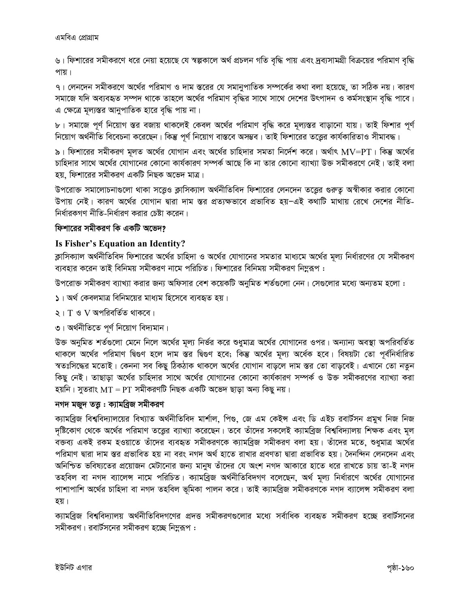৬। ফিশারের সমীকরণে ধরে নেয়া হয়েছে যে স্বল্পকালে অর্থ প্রচলন গতি বৃদ্ধি পায় এবং দ্রব্যসামগ্রী বিক্রয়ের পরিমাণ বৃদ্ধি পায়।

৭। লেনদেন সমীকরণে অর্থের পরিমাণ ও দাম স্তরের যে সমানুপাতিক সম্পর্কের কথা বলা হয়েছে, তা সঠিক নয়। কারণ সমাজে যদি অব্যবহৃত সম্পদ থাকে তাহলে অর্থের পরিমাণ বৃদ্ধির সাথে সাথে দেশের উৎপাদন ও কর্মসংস্থান বৃদ্ধি পাবে। এ ক্ষেত্রে মূল্যস্তর আনুপাতিক হারে বৃদ্ধি পায় না।

৮। সমাজে পূর্ণ নিয়োগ স্তর বজায় থাকলেই কেবল অর্থের পরিমাণ বৃদ্ধি করে মূল্যস্তর বাড়ানো যায়। তাই ফিশার পূর্ণ নিয়োগ অর্থনীতি বিবেচনা করেছেন। কিন্তু পূর্ণ নিয়োগ বাস্তবে অসম্ভব। তাই ফিশারের তত্ত্বের কার্যকারিতাও সীমাবদ্ধ।

৯। ফিশারের সমীকরণ মূলত অর্থের যোগান এবং অর্থের চাহিদার সমতা নির্দেশ করে। অর্থাৎ  $\text{MV=PT}$ । কিন্তু অর্থের চাহিদার সাথে অর্থের যোগানের কোনো কার্যকারণ সম্পর্ক আছে কি না তার কোনো ব্যাখ্যা উক্ত সমীকরণে নেই। তাই বলা হয়, ফিশারের সমীকরণ একটি নিছক অভেদ মাত্র।

উপরোক্ত সমালোচনাগুলো থাকা সত্ত্বেও ক্লাসিক্যাল অর্থনীতিবিদ ফিশারের লেনদেন তত্ত্বের গুরুতূ অস্বীকার করার কোনো উপায় নেই। কারণ অর্থের যোগান দ্বারা দাম স্তর প্রত্যক্ষভাবে প্রভাবিত হয়-এই কথাটি মাথায় রেখে দেশের নীতি-নির্ধারকগণ নীতি-নির্ধারণ করার চেষ্টা করেন।

#### ফিশারের সমীকরণ কি একটি অভেদ?

#### Is Fisher's Equation an Identity?

ক্লাসিক্যাল অর্থনীতিবিদ ফিশারের অর্থের চাহিদা ও অর্থের যোগানের সমতার মাধ্যমে অর্থের মূল্য নির্ধারণের যে সমীকরণ ব্যবহার করেন তাই বিনিময় সমীকরণ নামে পরিচিত। ফিশারের বিনিময় সমীকরণ নিম্নুরূপ :

উপরোক্ত সমীকরণ ব্যাখ্যা করার জন্য অফিসার বেশ কয়েকটি অনুমিত শর্তগুলো নেন। সেগুলোর মধ্যে অন্যতম হলো :

- ১। অর্থ কেবলমাত্র বিনিময়ের মাধ্যম হিসেবে ব্যবহৃত হয়।
- ২। T ও V অপরিবর্তিত থাকবে।
- ৩। অর্থনীতিতে পূর্ণ নিয়োগ বিদ্যমান।

উক্ত অনুমিত শর্তগুলো মেনে নিলে অর্থের মূল্য নির্ভর করে শুধুমাত্র অর্থের যোগানের ওপর। অন্যান্য অবস্থা অপরিবর্তিত থাকলে অর্থের পরিমাণ দ্বিগুণ হলে দাম স্তর দ্বিগুণ হবে; কিন্তু অর্থের মূল্য অর্ধেক হবে। বিষয়টা তো পূর্বনির্ধারিত স্বতঃসিদ্ধের মতোই। কেননা সব কিছু ঠিকঠাক থাকলে অর্থের যোগান বাড়লে দাম স্তর তো বাড়বেই। এখানে তো নতুন কিছু নেই। তাছাড়া অর্থের চাহিদার সাথে অর্থের যোগানের কোনো কার্যকারণ সম্পর্ক ও উক্ত সমীকরণের ব্যাখ্যা করা হয়নি। সুতরাং  $MT = PT$  সমীকরণটি নিছক একটি অভেদ ছাড়া অন্য কিছু নয়।

#### নগদ মজুদ তত্তু : ক্যামব্ৰিজ সমীকরণ

ক্যামব্রিজ বিশ্ববিদ্যালয়ের বিখ্যাত অর্থনীতিবিদ মার্শাল, পিণ্ড, জে এম কেইন্স এবং ডি এইচ রবার্টসন প্রমুখ নিজ নিজ দৃষ্টিকোণ থেকে অর্থের পরিমাণ তত্ত্বের ব্যাখ্যা করেছেন। তবে তাঁদের সকলেই ক্যামব্রিজ বিশ্ববিদ্যালয় শিক্ষক এবং মূল বক্তব্য একই রকম হওয়াতে তাঁদের ব্যবহৃত সমীকরণকে ক্যামব্রিজ সমীকরণ বলা হয়। তাঁদের মতে, শুধুমাত্র অর্থের পরিমাণ দ্বারা দাম স্তর প্রভাবিত হয় না বরং নগদ অর্থ হাতে রাখার প্রবণতা দ্বারা প্রভাবিত হয়। দৈনন্দিন লেনদেন এবং অনিশ্চিত ভবিষ্যতের প্রয়োজন মেটানোর জন্য মানুষ তাঁদের যে অংশ নগদ আকারে হাতে ধরে রাখতে চায় তা-ই নগদ তহবিল বা নগদ ব্যালেন্স নামে পরিচিত। ক্যামব্রিজ অর্থনীতিবিদগণ বলেছেন, অর্থ মূল্য নির্ধারণে অর্থের যোগানের পাশাপাশি অর্থের চাহিদা বা নগদ তহবিল ভূমিকা পালন করে। তাই ক্যামব্রিজ সমীকরণকে নগদ ব্যালেন্স সমীকরণ বলা হয়।

ক্যামব্রিজ বিশ্ববিদ্যালয় অর্থনীতিবিদগণের প্রদত্ত সমীকরণগুলোর মধ্যে সর্বাধিক ব্যবহৃত সমীকরণ হচ্ছে রবার্টসনের সমীকরণ। রবার্টসনের সমীকরণ হচ্ছে নিম্নুরূপ :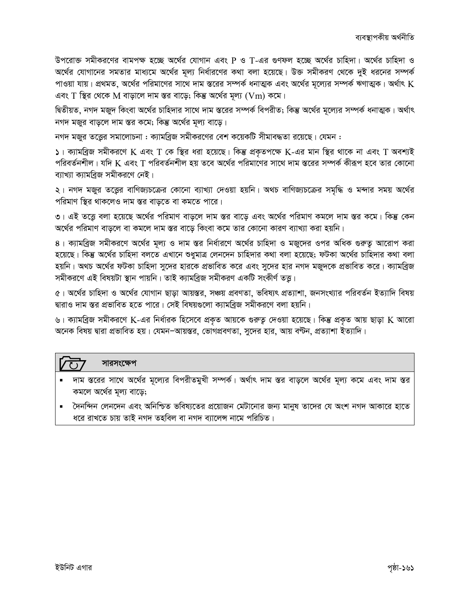উপরোক্ত সমীকরণের বামপক্ষ হচ্ছে অর্থের যোগান এবং P ও T-এর গুণফল হচ্ছে অর্থের চাহিদা। অর্থের চাহিদা ও অর্থের যোগানের সমতার মাধ্যমে অর্থের মূল্য নির্ধারণের কথা বলা হয়েছে। উক্ত সমীকরণ থেকে দুই ধরনের সম্পর্ক পাওয়া যায়। প্রথমত, অর্থের পরিমাণের সাথে দাম স্তরের সম্পর্ক ধনাত্মক এবং অর্থের মূল্যের সম্পর্ক ঋণাত্মক। অর্থাৎ  $\rm K$ এবং  $T$  স্থির থেকে  $M$  বাড়ালে দাম স্তর বাড়ে; কিন্তু অর্থের মূল্য  $(Vm)$  কমে।

দ্বিতীয়ত, নগদ মজুদ কিংবা অর্থের চাহিদার সাথে দাম স্তরের সম্পর্ক বিপরীত; কিন্তু অর্থের মূল্যের সম্পর্ক ধনাত্মক। অর্থাৎ নগদ মজুর বাড়লে দাম স্তর কমে; কিন্তু অর্থের মূল্য বাড়ে।

নগদ মজুর তত্তের সমালোচনা : ক্যামব্রিজ সমীকরণের বেশ কয়েকটি সীমাবদ্ধতা রয়েছে। যেমন :

 $\vert$  । ক্যামব্রিজ সমীকরণে K এবং T কে স্থির ধরা হয়েছে। কিন্তু প্রকৃতপক্ষে K-এর মান স্থির থাকে না এবং T অবশ্যই পরিবর্তনশীল। যদি K এবং T পরিবর্তনশীল হয় তবে অর্থের পরিমাণের সাথে দাম স্তরের সম্পর্ক কীরূপ হবে তার কোনো ব্যাখ্যা ক্যামবিজ সমীকরণে নেই।

২। নগদ মজুর তত্তের বাণিজ্যচক্রের কোনো ব্যাখ্যা দেওয়া হয়নি। অথচ বাণিজ্যচক্রের সমৃদ্ধি ও মন্দার সময় অর্থের পরিমাণ স্থির থাকলেও দাম স্তর বাড়তে বা কমতে পারে।

৩। এই তত্তে বলা হয়েছে অর্থের পরিমাণ বাড়লে দাম স্তর বাড়ে এবং অর্থের পরিমাণ কমলে দাম স্তর কমে। কিন্তু কেন অর্থের পরিমাণ বাড়লে বা কমলে দাম স্তর বাড়ে কিংবা কমে তার কোনো কারণ ব্যাখ্যা করা হয়নি।

৪। ক্যামব্রিজ সমীকরণে অর্থের মূল্য ও দাম স্তর নির্ধারণে অর্থের চাহিদা ও মজুদের ওপর অধিক গুরুত্ব আরোপ করা হয়েছে। কিন্তু অর্থের চাহিদা বলতে এখানে শুধুমাত্র লেনদেন চাহিদার কথা বলা হয়েছে; ফটকা অর্থের চাহিদার কথা বলা হয়নি। অথচ অর্থের ফটকা চাহিদা সুদের হারকে প্রভাবিত করে এবং সুদের হার নগদ মজুদকে প্রভাবিত করে। ক্যামব্রিজ সমীকরণে এই বিষয়টা স্থান পায়নি। তাই ক্যামব্রিজ সমীকরণ একটি সংকীর্ণ তত্তু।

৫। অর্থের চাহিদা ও অর্থের যোগান ছাড়া আয়স্তর, সঞ্চয় প্রবণতা, ভবিষ্যৎ প্রত্যাশা, জনসংখ্যার পরিবর্তন ইত্যাদি বিষয় দ্বারাও দাম স্তর প্রভাবিত হতে পারে। সেই বিষয়গুলো ক্যামব্রিজ সমীকরণে বলা হয়নি।

৬। ক্যামব্রিজ সমীকরণে K-এর নির্ধারক হিসেবে প্রকৃত আয়কে গুরুত্ব দেওয়া হয়েছে। কিন্তু প্রকৃত আয় ছাড়া K আরো অনেক বিষয় দ্বারা প্রভাবিত হয়। যেমন–আয়স্তর, ভোগপ্রবণতা, সুদের হার, আয় বণ্টন, প্রত্যাশা ইত্যাদি।

#### সারসংক্ষেপ

- দাম স্তরের সাথে অর্থের মূল্যের বিপরীতমুখী সম্পর্ক। অর্থাৎ দাম স্তর বাড়লে অর্থের মূল্য কমে এবং দাম স্তর কমলে অর্থের মূল্য বাড়ে;
- দৈনন্দিন লেনদেন এবং অনিশ্চিত ভবিষ্যতের প্রয়োজন মেটানোর জন্য মানুষ তাদের যে অংশ নগদ আকারে হাতে ধরে রাখতে চায় তাই নগদ তহবিল বা নগদ ব্যালেন্স নামে পরিচিত।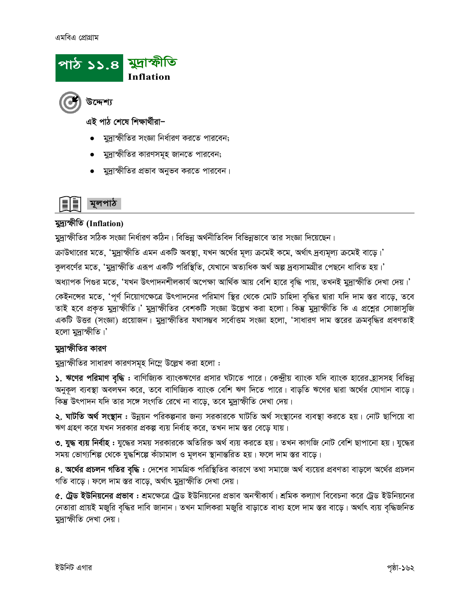#### এমবিএ প্রোগ্রাম





এই পাঠ শেষে শিক্ষাৰ্থীৱা–

- মদ্রাস্ফীতির সংজ্ঞা নির্ধারণ করতে পারবেন;
- মুদ্রাস্ফীতির কারণসমূহ জানতে পারবেন;
- মুদ্রাস্ফীতির প্রভাব অনুভব করতে পারবেন।

### মলপাঠ

#### মুদ্যস্পীতি (Inflation)

মুদ্রাক্ষীতির সঠিক সংজ্ঞা নির্ধারণ কঠিন। বিভিন্ন অর্থনীতিবিদ বিভিন্নভাবে তার সংজ্ঞা দিয়েছেন।

ক্রাউথারের মতে, 'মুদ্রাস্ফীতি এমন একটি অবস্থা, যখন অর্থের মূল্য ক্রমেই কমে, অর্থাৎ দ্রব্যমূল্য ক্রমেই বাড়ে।'

কুলবর্ণের মতে, 'মুদ্রাস্ফীতি এরূপ একটি পরিস্থিতি, যেখানে অত্যধিক অর্থ অল্প দ্রব্যসামগ্রীর পেছনে ধাবিত হয়।'

অধ্যাপক পিগুর মতে, 'যখন উৎপাদনশীলকার্য অপেক্ষা আর্থিক আয় বেশি হারে বৃদ্ধি পায়, তখনই মুদ্রাস্ফীতি দেখা দেয়।'

কেইনন্সের মতে, 'পূর্ণ নিয়োগক্ষেত্রে উৎপাদনের পরিমাণ স্থির থেকে মোট চাহিদা বৃদ্ধির দ্বারা যদি দাম স্তর বাড়ে, তবে তাই হবে প্রকৃত মুদ্রাস্ফীতি।' মুদ্রাস্ফীতির বেশকটি সংজ্ঞা উল্লেখ করা হলো। কিন্তু মুদ্রাস্ফীতি কি এ প্রশ্নের সোজাসুজি একটি উত্তর (সংজ্ঞা) প্রয়োজন। মুদ্রাস্ফীতির যথাসম্ভব সর্বোত্তম সংজ্ঞা হলো, 'সাধারণ দাম স্তরের ক্রমবৃদ্ধির প্রবণতাই হলো মদ্রাস্ফীতি।'

#### মদ্রাস্ফীতির কারণ

মুদ্রাস্ফীতির সাধারণ কারণসমূহ নিম্নে উল্লেখ করা হলো :

১. ঋণের পরিমাণ বৃদ্ধি : বাণিজ্যিক ব্যাংকঋণের প্রসার ঘটাতে পারে। কেন্দ্রীয় ব্যাংক যদি ব্যাংক হারের হ্রাসসহ বিভিন্ন অনুকূল ব্যবস্থা অবলম্বন করে, তবে বাণিজ্যিক ব্যাংক বেশি ঋণ দিতে পারে। বাড়তি ঋণের দ্বারা অর্থের যোগান বাড়ে। কিন্তু উৎপাদন যদি তার সঙ্গে সংগতি রেখে না বাড়ে, তবে মুদ্রাস্ফীতি দেখা দেয়।

**২. ঘাটতি অর্থ সংস্থান :** উন্নয়ন পরিকল্পনার জন্য সরকারকে ঘাটতি অর্থ সংস্থানের ব্যবস্থা করতে হয়। নোট ছাপিয়ে বা ঋণ গ্রহণ করে যখন সরকার প্রকল্প ব্যয় নির্বাহ করে, তখন দাম স্তর বেড়ে যায়।

৩. যুদ্ধ ব্যয় নির্বাহ : যুদ্ধের সময় সরকারকে অতিরিক্ত অর্থ ব্যয় করতে হয়। তখন কাগজি নোট বেশি ছাপানো হয়। যুদ্ধের সময় ভোগ্যশিল্প থেকে যুদ্ধশিল্পে কাঁচামাল ও মূলধন স্থানান্তরিত হয়। ফলে দাম স্তর বাড়ে।

৪. অর্থের প্রচলন গতির বৃদ্ধি : দেশের সামগ্রিক পরিস্থিতির কারণে তথা সমাজে অর্থ ব্যয়ের প্রবণতা বাড়লে অর্থের প্রচলন গতি বাড়ে। ফলে দাম স্তর বাড়ে, অর্থাৎ মুদ্রাস্ফীতি দেখা দেয়।

৫. ট্রেড ইউনিয়নের প্রভাব : শ্রমক্ষেত্রে ট্রেড ইউনিয়নের প্রভাব অনস্বীকার্য। শ্রমিক কল্যাণ বিবেচনা করে ট্রেড ইউনিয়নের নেতারা প্রায়ই মজুরি বৃদ্ধির দাবি জানান। তখন মালিকরা মজুরি বাড়াতে বাধ্য হলে দাম স্তর বাড়ে। অর্থাৎ ব্যয় বৃদ্ধিজনিত মদাক্ষীতি দেখা দেয়।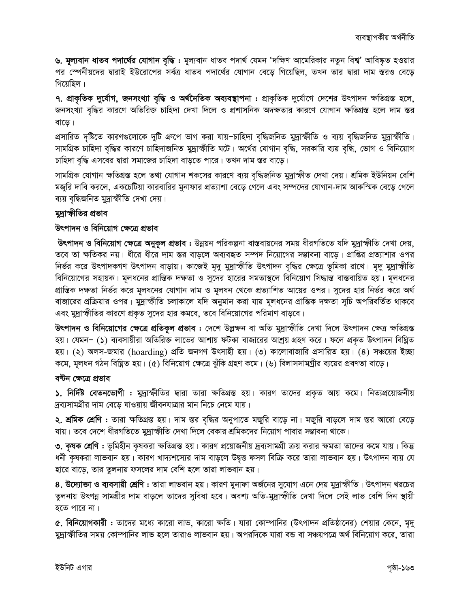৬. মূল্যবান ধাতব পদার্থের যোগান বৃদ্ধি : মূল্যবান ধাতব পদার্থ যেমন 'দক্ষিণ আমেরিকার নতুন বিশ্ব' আবিষ্কৃত হওয়ার পর স্পেনীয়দের দ্বারাই ইউরোপের সর্বত্র ধাতব পদার্থের যোগান বেড়ে গিয়েছিল, তখন তার দ্বারা দাম স্তরও বেড়ে গিয়েছিল।

৭. প্রাকৃতিক দুর্যোগ, জনসংখ্যা বৃদ্ধি ও অর্থনৈতিক অব্যবস্থাপনা : প্রাকৃতিক দুর্যোগে দেশের উৎপাদন ক্ষতিগ্রস্ত হলে, জনসংখ্যা বৃদ্ধির কারণে অতিরিক্ত চাহিদা দেখা দিলে ও প্রশাসনিক অদক্ষতার কারণে যোগান ক্ষতিগ্রস্ত হলে দাম স্তর বাড়ে।

প্রসারিত দৃষ্টিতে কারণগুলোকে দুটি গ্রুপে ভাগ করা যায়-চাহিদা বৃদ্ধিজনিত মুদ্রাস্ফীতি ও ব্যয় বৃদ্ধিজনিত মুদ্রাস্ফীতি। সামগ্রিক চাহিদা বৃদ্ধির কারণে চাহিদাজনিত মুদ্রাস্ফীতি ঘটে। অর্থের যোগান বৃদ্ধি, সরকারি ব্যয় বৃদ্ধি, ভোগ ও বিনিয়োগ চাহিদা বৃদ্ধি এসবের দ্বারা সমাজের চাহিদা বাড়তে পারে। তখন দাম স্তর বাড়ে।

সামগ্রিক যোগান ক্ষতিগ্রস্ত হলে তথা যোগান শকসের কারণে ব্যয় বৃদ্ধিজনিত মুদ্রাস্ফীত দেখা দেয়। শ্রমিক ইউনিয়ন বেশি মজুরি দাবি করলে, একচেটিয়া কারবারির মুনাফার প্রত্যাশা বেড়ে গেলে এবং সম্পদের যোগান-দাম আকস্মিক বেড়ে গেলে ব্যয় বৃদ্ধিজনিত মুদ্রাস্ফীতি দেখা দেয়।

#### মুদ্রাস্ফীতির প্রভাব

#### উৎপাদন ও বিনিয়োগ ক্ষেত্রে প্রভাব

উৎপাদন ও বিনিয়োগ ক্ষেত্রে অনুকূল প্রভাব : উন্নয়ন পরিকল্পনা বাস্তবায়নের সময় ধীরগতিতে যদি মুদ্রাস্ফীতি দেখা দেয়, তবে তা ক্ষতিকর নয়। ধীরে ধীরে দাম স্তর বাড়লে অব্যবহৃত সম্পদ নিয়োগের সম্ভাবনা বাড়ে। প্রাপ্তির প্রত্যাশার ওপর নির্ভর করে উৎপাদকগণ উৎপাদন বাড়ায়। কাজেই মৃদু মুদ্রাস্ফীতি উৎপাদন বৃদ্ধির ক্ষেত্রে ভূমিকা রাখে। মৃদু মুদ্রাস্ফীতি বিনিয়োগের সহায়ক। মূলধনের প্রান্তিক দক্ষতা ও সুদের হারের সমতাস্থলে বিনিয়োগ সিদ্ধান্ত বাস্তবায়িত হয়। মূলধনের প্রান্তিক দক্ষতা নির্ভর করে মূলধনের যোগান দাম ও মূলধন থেকে প্রত্যাশিত আয়ের ওপর। সুদের হার নির্ভর করে অর্থ বাজারের প্রক্রিয়ার ওপর। মুদ্রাস্ফীতি চলাকালে যদি অনুমান করা যায় মূলধনের প্রান্তিক দক্ষতা সূচি অপরিবর্তিত থাকবে এবং মুদ্রাস্ফীতির কারণে প্রকৃত সুদের হার কমবে, তবে বিনিয়োগের পরিমাণ বাড়বে।

উৎপাদন ও বিনিয়োগের ক্ষেত্রে প্রতিকূল প্রভাব : দেশে উল্লফন বা অতি মুদ্রাস্ফীতি দেখা দিলে উৎপাদন ক্ষেত্র ক্ষতিগ্রস্ত হয়। যেমন– (১) ব্যবসায়ীরা অতিরিক্ত লাভের আশায় ফটকা বাজারের আশ্রয় গ্রহণ করে। ফলে প্রকৃত উৎপাদন বিঘ্নিত হয়। (২) অলস-জমার (hoarding) প্রতি জনগণ উৎসাহী হয়। (৩) কালোবাজারি প্রসারিত হয়। (8) সঞ্চয়ের ইচ্ছা কমে, মূলধন গঠন বিঘ্নিত হয়। (৫) বিনিয়োগ ক্ষেত্রে ঝুঁকি গ্রহণ কমে। (৬) বিলাসসামগ্রীর ব্যয়ের প্রবণতা বাড়ে।

#### বন্টন ক্ষেত্রে প্রভাব

**১. নির্দিষ্ট বেতনভোগী : মুদ্রা**স্ফীতির দ্বারা তারা ক্ষতিগ্রস্ত হয়। কারণ তাদের প্রকৃত আয় কমে। নিত্যপ্রয়োজনীয় দ্রব্যসামগ্রীর দাম বেড়ে যাওয়ায় জীবনযাত্রার মান নিচে নেমে যায়।

**২. শ্রমিক শ্রেণি :** তারা ক্ষতিগ্রস্ত হয়। দাম স্তর বৃদ্ধির অনুপাতে মজুরি বাড়ে না। মজুরি বাড়লে দাম স্তর আরো বেড়ে যায়। তবে দেশে ধীরগতিতে মুদ্রাস্ফীতি দেখা দিলে বেকার শ্রমিকদের নিয়োগ পাবার সম্ভাবনা থাকে।

৩. কৃষক শ্রেণি : ভূমিহীন কৃষকরা ক্ষতিগ্রস্ত হয়। কারণ প্রয়োজনীয় দ্রব্যসামগ্রী ক্রয় করার ক্ষমতা তাদের কমে যায়। কিন্তু ধনী কৃষকরা লাভবান হয়। কারণ খাদ্যশস্যের দাম বাড়লে উদ্বৃত্ত ফসল বিক্রি করে তারা লাভবান হয়। উৎপাদন ব্যয় যে হারে বাড়ে, তার তুলনায় ফসলের দাম বেশি হলে তারা লাভবান হয়।

৪. উদ্যোজা ও ব্যবসায়ী শ্রেণি : তারা লাভবান হয়। কারণ মুনাফা অর্জনের সুযোগ এনে দেয় মুদ্রাস্ফীতি। উৎপাদন খরচের তুলনায় উৎপন্ন সামগ্রীর দাম বাড়লে তাদের সুবিধা হবে। অবশ্য অতি-মুদ্রাস্ফীতি দেখা দিলে সেই লাভ বেশি দিন স্থায়ী হতে পারে না।

৫. বিনিয়োগকারী : তাদের মধ্যে কারো লাভ, কারো ক্ষতি। যারা কোম্পানির (উৎপাদন প্রতিষ্ঠানের) শেয়ার কেনে, মৃদু মুদ্রাস্ফীতির সময় কোম্পানির লাভ হলে তারাও লাভবান হয়। অপরদিকে যারা বন্ড বা সঞ্চয়পত্রে অর্থ বিনিয়োগ করে, তারা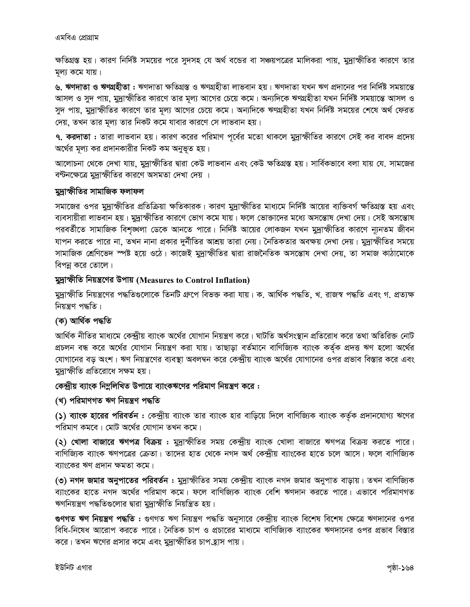*ক্ষতি*গ্রস্ত হয়। কারণ নির্দিষ্ট সময়ের পরে সুদসহ যে অর্থ বন্ডের বা সঞ্চয়পত্রের মালিকরা পায়, মুদ্রাস্ফীতির কারণে তার *g~j¨ K‡g hvq|* 

*৬.* ঋণদাতা ও ঋণগ্ৰহীতা : ঋণদাতা ক্ষতিগ্ৰস্ত ও ঋণগ্ৰহীতা লাভবান হয়। ঋণদাতা যখন ঋণ প্ৰদানের পর নিৰ্দিষ্ট সময়ান্তে স্মাসল ও সুদ পায়, মুদ্রাস্ফীতির কারণে তার মূল্য আগের চেয়ে কমে। অন্যদিকে ঋণগ্রহীতা যখন নির্দিষ্ট সময়ান্তে আসল ও সুদ পায়, মুদ্রাস্ফীতির কারণে তার মূল্য আগের চেয়ে কমে। অন্যদিকে ঋণগ্রহীতা যখন নির্দিষ্ট সময়ের শেষে অর্থ ফেরত *(*দয়, তখন তার মূল্য তার নিকট কমে যাবার কারণে সে লাভবান হয়।

**৭. করদাতা :** তারা লাভবান হয়। কারণ করের পরিমাণ পূর্বের মতো থাকলে মুদ্রাস্ফীতির কারণে সেই কর বাবদ প্রদেয় অর্থের মূল্য কর প্রদানকারীর নিকট কম অনুভূত হয়।

*Av‡jvPbv †\_‡K †`Lv hvq, gy`ªvùxwZi Øviv †KD jvfevb Ges †KD ÿwZMÖ¯Í nq| mvwe©Kfv‡e ejv hvq †h. mvg‡Ri*  $\frac{1}{2}$ কটনক্ষেত্রে মুদ্রাস্ফীতির কারণে অসমতা দেখা দেয় ।

#### *gy`ªvùxwZi mvgvwRK djvdj*

সমাজের ওপর মুদ্রাস্ফীতির প্রতিক্রিয়া ক্ষতিকারক। কারণ মুদ্রাস্ফীতির মাধ্যমে নির্দিষ্ট আয়ের ব্যক্তিবর্গ ক্ষতিগ্রস্ত হয় এবং *ব্যবসায়ীরা লাভবান হয়*। মুদ্রাস্ফীতির কারণে ভোগ কমে যায়। ফলে ভোক্তাদের মধ্যে অসন্তোষ দেখা দেয়। সেই অসন্তোষ পরবর্তীতে সামাজিক বিশৃঙ্খলা ডেকে আনতে পারে। নির্দিষ্ট আয়ের লোকজন যখন মুদ্রাস্ফীতির কারণে ন্যূনতম জীবন যাপন করতে পারে না, তখন নানা প্রকার দুর্নীতির আশ্রয় তারা নেয়। নৈতিকতার অবক্ষয় দেখা দেয়। মুদ্রাস্ফীতির সময়ে সামাজিক শ্ৰেণিভেদ স্পষ্ট হয়ে ওঠে। কাজেই মুদ্ৰাস্ফীতির দ্বারা রাজনৈতিক অসন্তোষ দেখা দেয়, তা সমাজ কাঠামোকে *বিপন্ন করে তোলে।* 

#### *gy`ªvùxwZ wbqš¿‡Yi Dcvq* **(Measures to Control Inflation)**

মুদ্রাক্ষীতি নিয়ন্ত্রণের পদ্ধতিগুলোকে তিনটি গ্রুপে বিভক্ত করা যায়। ক. আর্থিক পদ্ধতি, খ. রাজস্ব পদ্ধতি এবং গ. প্রত্যক্ষ *নি*য়ন্ত্ৰণ পদ্ধতি।

#### *(*ক) আৰ্থিক পদ্ধতি

আর্থিক নীতির মাধ্যমে কেন্দ্রীয় ব্যাংক অর্থের যোগান নিয়ন্ত্রণ করে। ঘাটতি অর্থসংস্থান প্রতিরোধ করে তথা অতিরিক্ত নোট *cÖPjb eÜ K‡i A‡\_©i †hvMvb wbqš¿Y Kiv hvq| ZvQvov eZ©gv‡b evwYwR¨K e¨vsK KZ©"K cÖ`Ë FY n‡jv A‡\_©i †hvMv‡bi eo Ask| FY wbqš¿‡Yi e¨e¯'v Aej¤^b K‡i †K›`ªxq e¨vsK A‡\_©i †hvMv‡bi Ici cÖfve we¯Ívi K‡i Ges মু*দ্রাস্ফীতি প্রতিরোধে সক্ষম হয়।

#### *†K›`ªxq e¨vsK wb¤œwjwLZ Dcv‡q e¨vsKF‡Yi cwigvY wbqš¿Y K‡i :*

#### *(*খ) পরিমাণগত ঋণ নিয়ন্ত্রণ পদ্ধতি

*(*১) ব্যাংক হারের পরিবর্তন : কেন্দ্রীয় ব্যাংক তার ব্যাংক হার বাড়িয়ে দিলে বাণিজ্যিক ব্যাংক কর্তৃক প্রদানযোগ্য ঋণের  $\gamma$ রিমাণ কমবে। মোট অর্থের যোগান তখন কমে।

*(*২) খোলা বাজারে ঋণপত্র বিক্রয় : মুদ্রাস্ফীতির সময় কেন্দ্রীয় ব্যাংক খোলা বাজারে ঋণপত্র বিক্রয় করতে পারে। বাণিজ্যিক ব্যাংক ঋণপত্রের ক্রেতা। তাদের হাত থেকে নগদ অর্থ কেন্দ্রীয় ব্যাংকের হাতে চলে আসে। ফলে বাণিজ্যিক ব্যাংকের ঋণ প্রদান ক্ষমতা কমে।

(৩) নগদ জমার অনুপাতের পরিবর্তন : মুদ্রাস্ফীতির সময় কেন্দ্রীয় ব্যাংক নগদ জমার অনুপাত বাড়ায়। তখন বাণিজ্যিক *ব্যাংকের হাতে নগদ অর্থের পরিমাণ কমে*। ফলে বাণিজ্যিক ব্যাংক বেশি ঋণদান করতে পারে। এভাবে পরিমাণগত ঋণনিয়ন্ত্রণ পদ্ধতিগুলোর দ্বারা মুদ্রাস্ফীতি নিয়ন্ত্রিত হয়।

*¸YMZ FY wbqš¿Y c×wZ : ¸YMZ FY wbqš¿Y c×wZ Abymv‡i †K›`ªxq e¨vsK we‡kl we‡kl †ÿ‡Î FY`v‡bi Ici বিধি-নিষেধ আরোপ করতে পারে। নৈতিক চাপ ও প্রচারের মাধ্যমে বাণিজ্যিক ব্যাংকের ঋণদানের ওপর প্রভাব বিস্তার* করে। তখন ঋণের প্রসার কমে এবং মুদ্রাস্ফীতির চাপ*হ্*যস পায়।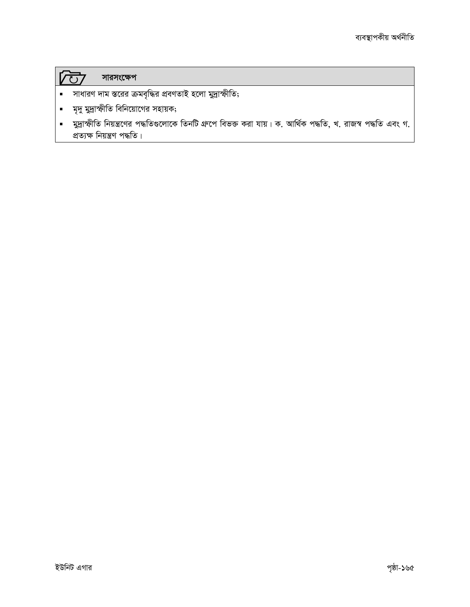### $\sqrt{CD}$  Maneran

- সাধারণ দাম স্তরের ক্রমবৃদ্ধির প্রবণতাই হলো মুদ্রাস্ফীতি;
- মৃদু মুদ্রাস্ফীতি বিনিয়োগের সহায়ক;
- মুদ্রাস্ফীতি নিয়ন্ত্রণের পদ্ধতিগুলোকে তিনটি গ্রুপে বিভক্ত করা যায়। ক. আর্থিক পদ্ধতি, খ. রাজস্ব পদ্ধতি এবং গ.  $\blacksquare$ প্ৰত্যক্ষ নিয়ন্ত্ৰণ পদ্ধতি।